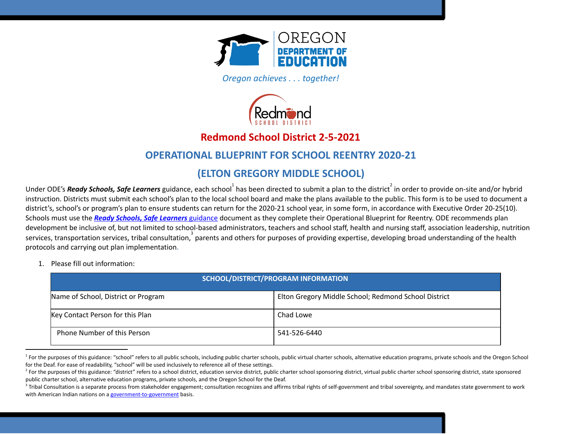

*Oregon achieves . . . together!* 



# **Redmond School District 2-5-2021**

# **OPERATIONAL BLUEPRINT FOR SCHOOL REENTRY 2020-21**

# **(ELTON GREGORY MIDDLE SCHOOL)**

Under ODE's **Ready Schools, Safe Learners** guidance, each school $^1$  has been directed to submit a plan to the district  $^2$  in order to provide on-site and/or hybrid instruction. Districts must submit each school's plan to the local school board and make the plans available to the public. This form is to be used to document a district's, school's or program's plan to ensure students can return for the 2020-21 school year, in some form, in accordance with Executive Order 20-25(10). Schools must use the *Ready Schools, Safe [Learners](https://www.oregon.gov/ode/students-and-family/healthsafety/Documents/Ready%20Schools%20Safe%20Learners%202020-21%20Guidance.pdf)* [guidance](https://www.oregon.gov/ode/students-and-family/healthsafety/Documents/Ready%20Schools%20Safe%20Learners%202020-21%20Guidance.pdf) document as they complete their Operational Blueprint for Reentry. ODE recommends plan development be inclusive of, but not limited to school-based administrators, teachers and school staff, health and nursing staff, association leadership, nutrition services, transportation services, tribal consultation,  $3$  parents and others for purposes of providing expertise, developing broad understanding of the health protocols and carrying out plan implementation.

1. Please fill out information:

| SCHOOL/DISTRICT/PROGRAM INFORMATION |                                                      |
|-------------------------------------|------------------------------------------------------|
| Name of School, District or Program | Elton Gregory Middle School; Redmond School District |
| Key Contact Person for this Plan    | Chad Lowe                                            |
| <b>Phone Number of this Person</b>  | 541-526-6440                                         |

<sup>&</sup>lt;sup>1</sup> For the purposes of this guidance: "school" refers to all public schools, including public charter schools, public virtual charter schools, alternative education programs, private schools and the Oregon School for the Deaf. For ease of readability, "school" will be used inclusively to reference all of these settings.

<sup>&</sup>lt;sup>2</sup> For the purposes of this guidance: "district" refers to a school district, education service district, public charter school sponsoring district arter school sponsoring district, state sponsored public charter school, alternative education programs, private schools, and the Oregon School for the Deaf.

<sup>&</sup>lt;sup>3</sup> Tribal Consultation is a separate process from stakeholder engagement; consultation recognizes and affirms tribal rights of self-government and tribal sovereignty, and mandates state government to work with American Indian nations on a [government-to-government](http://www.nrc4tribes.org/files/Tab%209_9H%20Oregon%20SB770.pdf) basis.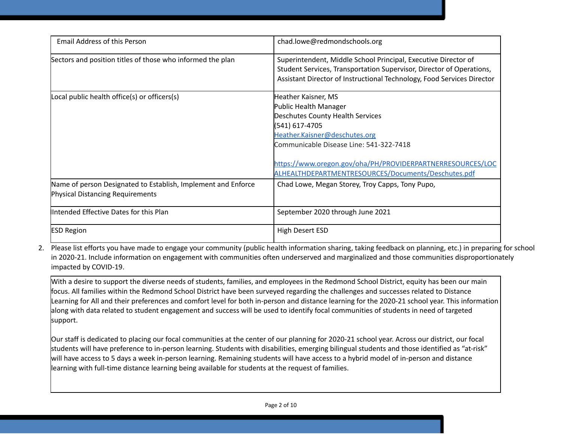| <b>Email Address of this Person</b>                                                                      | chad.lowe@redmondschools.org                                                                                                                                                                                                                                                                        |
|----------------------------------------------------------------------------------------------------------|-----------------------------------------------------------------------------------------------------------------------------------------------------------------------------------------------------------------------------------------------------------------------------------------------------|
| Sectors and position titles of those who informed the plan                                               | Superintendent, Middle School Principal, Executive Director of<br>Student Services, Transportation Supervisor, Director of Operations,<br>Assistant Director of Instructional Technology, Food Services Director                                                                                    |
| Local public health office(s) or officers(s)                                                             | Heather Kaisner, MS<br>Public Health Manager<br>Deschutes County Health Services<br>(541) 617-4705<br>Heather.Kaisner@deschutes.org<br>Communicable Disease Line: 541-322-7418<br>https://www.oregon.gov/oha/PH/PROVIDERPARTNERRESOURCES/LOC<br>ALHEALTHDEPARTMENTRESOURCES/Documents/Deschutes.pdf |
| Name of person Designated to Establish, Implement and Enforce<br><b>Physical Distancing Requirements</b> | Chad Lowe, Megan Storey, Troy Capps, Tony Pupo,                                                                                                                                                                                                                                                     |
| Intended Effective Dates for this Plan                                                                   | September 2020 through June 2021                                                                                                                                                                                                                                                                    |
| <b>ESD Region</b>                                                                                        | High Desert ESD                                                                                                                                                                                                                                                                                     |

2. Please list efforts you have made to engage your community (public health information sharing, taking feedback on planning, etc.) in preparing for school in 2020-21. Include information on engagement with communities often underserved and marginalized and those communities disproportionately impacted by COVID-19.

With a desire to support the diverse needs of students, families, and employees in the Redmond School District, equity has been our main focus. All families within the Redmond School District have been surveyed regarding the challenges and successes related to Distance Learning for All and their preferences and comfort level for both in-person and distance learning for the 2020-21 school year. This information along with data related to student engagement and success will be used to identify focal communities of students in need of targeted support.

Our staff is dedicated to placing our focal communities at the center of our planning for 2020-21 school year. Across our district, our focal students will have preference to in-person learning. Students with disabilities, emerging bilingual students and those identified as "at-risk" will have access to 5 days a week in-person learning. Remaining students will have access to a hybrid model of in-person and distance learning with full-time distance learning being available for students at the request of families.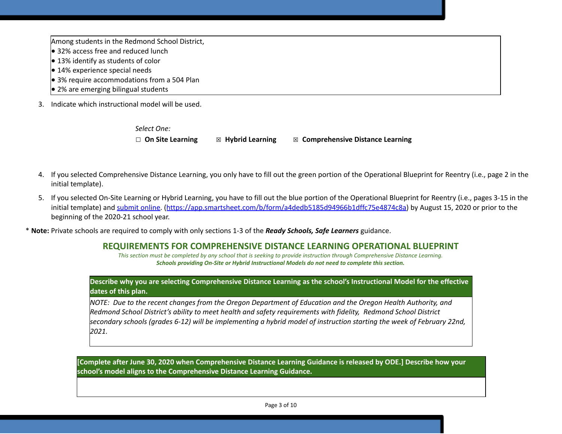Among students in the Redmond School District,

- 32% access free and reduced lunch
- 13% identify as students of color
- $\bullet$  14% experience special needs
- 3% require accommodations from a 504 Plan
- $\bullet$  2% are emerging bilingual students
- 3. Indicate which instructional model will be used.

*Select One:* ☐ **On Site Learning** ☒ **Hybrid Learning** ☒ **Comprehensive Distance Learning**

- 4. If you selected Comprehensive Distance Learning, you only have to fill out the green portion of the Operational Blueprint for Reentry (i.e., page 2 in the initial template).
- 5. If you selected On-Site Learning or Hybrid Learning, you have to fill out the blue portion of the Operational Blueprint for Reentry (i.e., pages 3-15 in the initial template) and [submit](https://app.smartsheet.com/b/form/a4dedb5185d94966b1dffc75e4874c8a) online. ([https://app.smartsheet.com/b/form/a4dedb5185d94966b1dffc75e4874c8a\)](https://app.smartsheet.com/b/form/a4dedb5185d94966b1dffc75e4874c8a) by August 15, 2020 or prior to the beginning of the 2020-21 school year.

\* **Note:** Private schools are required to comply with only sections 1-3 of the *Ready Schools, Safe Learners* guidance.

# **REQUIREMENTS FOR COMPREHENSIVE DISTANCE LEARNING OPERATIONAL BLUEPRINT**

*This section must be completed by any school that is seeking to provide instruction through Comprehensive Distance Learning. Schools providing On-Site or Hybrid Instructional Models do not need to complete this section.* 

### Describe why you are selecting Comprehensive Distance Learning as the school's Instructional Model for the effective **dates of this plan.**

NOTE: Due to the recent changes from the Oregon Department of Education and the Oregon Health Authority, and *Redmond School District's ability to meet health and safety requirements with fidelity, Redmond School District* secondary schools (grades 6-12) will be implementing a hybrid model of instruction starting the week of February 22nd, *2021.*

Complete after June 30, 2020 when Comprehensive Distance Learning Guidance is released by ODE.] Describe how your **school's model aligns to the Comprehensive Distance Learning Guidance.**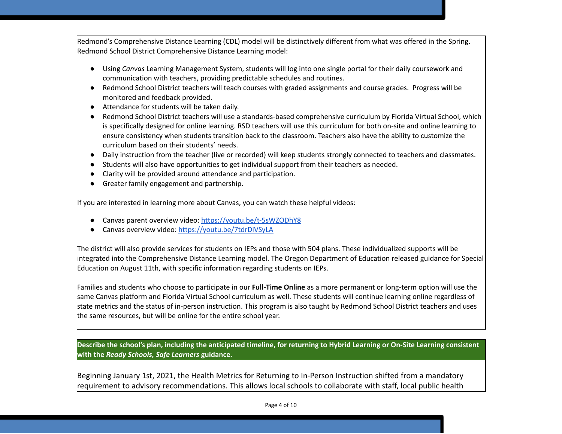Redmond's Comprehensive Distance Learning (CDL) model will be distinctively different from what was offered in the Spring. Redmond School District Comprehensive Distance Learning model:

- Using *Canvas* Learning Management System, students will log into one single portal for their daily coursework and communication with teachers, providing predictable schedules and routines.
- Redmond School District teachers will teach courses with graded assignments and course grades. Progress will be monitored and feedback provided.
- Attendance for students will be taken daily.
- Redmond School District teachers will use a standards-based comprehensive curriculum by Florida Virtual School, which is specifically designed for online learning. RSD teachers will use this curriculum for both on-site and online learning to ensure consistency when students transition back to the classroom. Teachers also have the ability to customize the curriculum based on their students' needs.
- Daily instruction from the teacher (live or recorded) will keep students strongly connected to teachers and classmates.
- Students will also have opportunities to get individual support from their teachers as needed.
- Clarity will be provided around attendance and participation.
- Greater family engagement and partnership.

If you are interested in learning more about Canvas, you can watch these helpful videos:

- Canvas parent overview video: <https://youtu.be/t-5sWZODhY8>
- Canvas overview video: <https://youtu.be/7tdrDiVSyLA>

The district will also provide services for students on IEPs and those with 504 plans. These individualized supports will be integrated into the Comprehensive Distance Learning model. The Oregon Department of Education released guidance for Special Education on August 11th, with specific information regarding students on IEPs.

Families and students who choose to participate in our **Full-Time Online** as a more permanent or long-term option will use the same Canvas platform and Florida Virtual School curriculum as well. These students will continue learning online regardless of state metrics and the status of in-person instruction. This program is also taught by Redmond School District teachers and uses the same resources, but will be online for the entire school year.

Describe the school's plan, including the anticipated timeline, for returning to Hybrid Learning or On-Site Learning consistent **with the** *Ready Schools, Safe Learners* **guidance.**

Beginning January 1st, 2021, the Health Metrics for Returning to In-Person Instruction shifted from a mandatory requirement to advisory recommendations. This allows local schools to collaborate with staff, local public health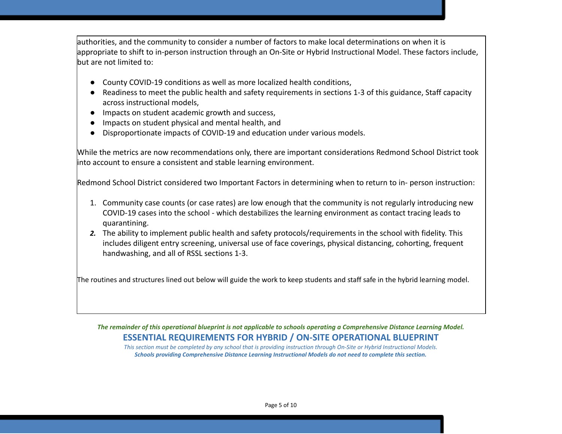authorities, and the community to consider a number of factors to make local determinations on when it is appropriate to shift to in-person instruction through an On-Site or Hybrid Instructional Model. These factors include, but are not limited to:

- County COVID-19 conditions as well as more localized health conditions,
- Readiness to meet the public health and safety requirements in sections 1-3 of this guidance, Staff capacity across instructional models,
- Impacts on student academic growth and success,
- Impacts on student physical and mental health, and
- Disproportionate impacts of COVID-19 and education under various models.

While the metrics are now recommendations only, there are important considerations Redmond School District took into account to ensure a consistent and stable learning environment.

Redmond School District considered two Important Factors in determining when to return to in- person instruction:

- 1. Community case counts (or case rates) are low enough that the community is not regularly introducing new COVID-19 cases into the school - which destabilizes the learning environment as contact tracing leads to quarantining.
- *2.* The ability to implement public health and safety protocols/requirements in the school with fidelity. This includes diligent entry screening, universal use of face coverings, physical distancing, cohorting, frequent handwashing, and all of RSSL sections 1-3.

The routines and structures lined out below will guide the work to keep students and staff safe in the hybrid learning model.

The remainder of this operational blueprint is not applicable to schools operating a Comprehensive Distance Learning Model. **ESSENTIAL REQUIREMENTS FOR HYBRID / ON-SITE OPERATIONAL BLUEPRINT**

*This section must be completed by any school that is providing instruction through On-Site or Hybrid Instructional Models. Schools providing Comprehensive Distance Learning Instructional Models do not need to complete this section.*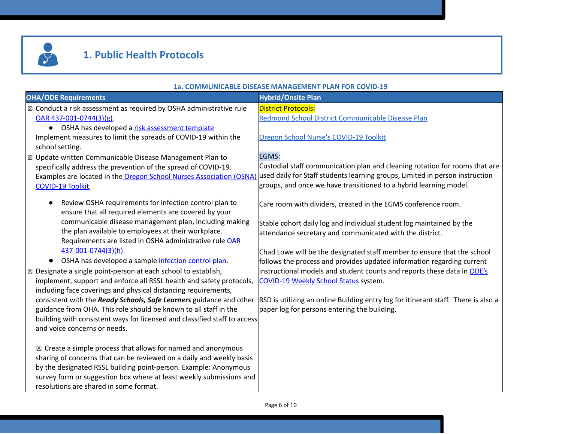

# **1. Public Health Protocols**

#### **1a. COMMUNICABLE DISEASE MANAGEMENT PLAN FOR COVID-19**

|                                                                           | <u>UMMUNUMBE DIJEMJE MANAUENIEN I I EMN I UN U</u>                                 |
|---------------------------------------------------------------------------|------------------------------------------------------------------------------------|
| <b>OHA/ODE Requirements</b>                                               | <b>Hybrid/Onsite Plan</b>                                                          |
| ⊠ Conduct a risk assessment as required by OSHA administrative rule       | <b>District Protocols:</b>                                                         |
| OAR 437-001-0744(3)(g).                                                   | Redmond School District Communicable Disease Plan                                  |
| • OSHA has developed a risk assessment template                           |                                                                                    |
| Implement measures to limit the spreads of COVID-19 within the            | Oregon School Nurse's COVID-19 Toolkit                                             |
| school setting.                                                           |                                                                                    |
| $\boxtimes$ Update written Communicable Disease Management Plan to        | EGMS:                                                                              |
| specifically address the prevention of the spread of COVID-19.            | Custodial staff communication plan and cleaning rotation for rooms that are        |
| Examples are located in the Oregon School Nurses Association (OSNA)       | used daily for Staff students learning groups, Limited in person instruction       |
| COVID-19 Toolkit.                                                         | groups, and once we have transitioned to a hybrid learning model.                  |
|                                                                           |                                                                                    |
| Review OSHA requirements for infection control plan to                    | Care room with dividers, created in the EGMS conference room.                      |
| ensure that all required elements are covered by your                     |                                                                                    |
| communicable disease management plan, including making                    | Stable cohort daily log and individual student log maintained by the               |
| the plan available to employees at their workplace.                       | attendance secretary and communicated with the district.                           |
| Requirements are listed in OSHA administrative rule OAR                   |                                                                                    |
| 437-001-0744(3)(h).                                                       | Chad Lowe will be the designated staff member to ensure that the school            |
| OSHA has developed a sample infection control plan.                       | follows the process and provides updated information regarding current             |
| ⊠ Designate a single point-person at each school to establish,            | instructional models and student counts and reports these data in ODE's            |
| implement, support and enforce all RSSL health and safety protocols,      | COVID-19 Weekly School Status system.                                              |
| including face coverings and physical distancing requirements,            |                                                                                    |
| consistent with the Ready Schools, Safe Learners guidance and other       | RSD is utilizing an online Building entry log for itinerant staff. There is also a |
| guidance from OHA. This role should be known to all staff in the          | paper log for persons entering the building.                                       |
| building with consistent ways for licensed and classified staff to access |                                                                                    |
| and voice concerns or needs.                                              |                                                                                    |
|                                                                           |                                                                                    |
| $\boxtimes$ Create a simple process that allows for named and anonymous   |                                                                                    |
| sharing of concerns that can be reviewed on a daily and weekly basis      |                                                                                    |
| by the designated RSSL building point-person. Example: Anonymous          |                                                                                    |
| survey form or suggestion box where at least weekly submissions and       |                                                                                    |
| resolutions are shared in some format.                                    |                                                                                    |
|                                                                           |                                                                                    |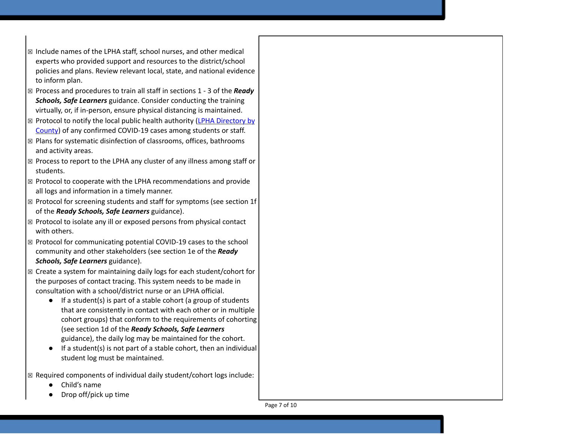- $\boxtimes$  Include names of the LPHA staff, school nurses, and other medical experts who provided support and resources to the district/school policies and plans. Review relevant local, state, and national eviden c e to inform plan.
- ⊠ Process and procedures to train all staff in sections 1 3 of the *Ready* **Schools, Safe Learners** guidance. Consider conducting the training virtually, or, if in-person, ensure physical distancing is maintained.
- ⊠ Protocol to notify the local public health authority (LPHA [Director](https://www.oregon.gov/oha/ph/providerpartnerresources/localhealthdepartmentresources/pages/lhd.aspx)y by [C](https://www.oregon.gov/oha/ph/providerpartnerresources/localhealthdepartmentresources/pages/lhd.aspx)ounty) of any confirmed COVID-19 cases among students or staff.
- ☒ Plans for systematic disinfection of classrooms, offices, bathrooms and activity areas.
- $\boxtimes$  Process to report to the LPHA any cluster of any illness among staff or students.
- $\boxtimes$  Protocol to cooperate with the LPHA recommendations and provide all logs and information in a timely manner.
- $\boxtimes$  Protocol for screening students and staff for symptoms (see section 1f of the *Ready Schools, Safe Learners* guidance).
- $\boxtimes$  Protocol to isolate any ill or exposed persons from physical contact with others.
- ⊠ Protocol for communicating potential COVID-19 cases to the school community and other stakeholders (see section 1e of the *Ready Schools, Safe Learners* guidance).
- $\boxtimes$  Create a system for maintaining daily logs for each student/cohort for the purposes of contact tracing. This system needs to be made in consultation with a school/district nurse or an LPHA official.
	- If a student(s) is part of a stable cohort (a group of students that are consistently in contact with each other or in multiple cohort groups) that conform to the requirements of cohorting (see section 1d of the *Ready Schools, Safe Learners* guidance), the daily log may be maintained for the cohort.
	- If a student(s) is not part of a stable cohort, then an individual student log must be maintained.
- $\boxtimes$  Required components of individual daily student/cohort logs include:
	- Child's name
	- Drop off/pick up time

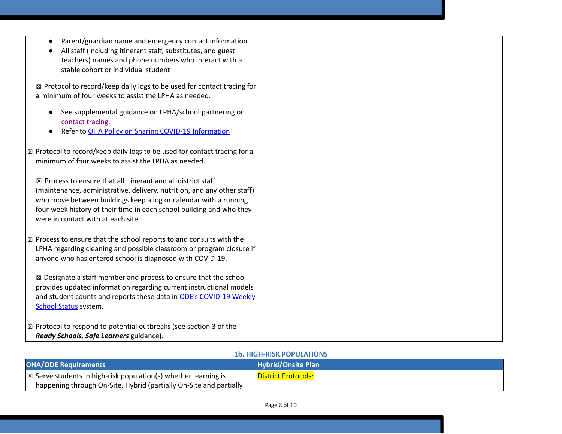- Parent/guardian name and emergency contact information
- All staff (including itinerant staff, substitutes, and guest teachers) names and phone numbers who interact with a stable cohort or individual student

☒ Protocol to record/keep daily logs to be used for contact tracing for a minimum of four weeks to assist the LPHA as needed.

- See supplemental guidance on LPHA/school partnering o[n](https://www.oregon.gov/ode/students-and-family/healthsafety/Documents/LPHA%20Capacity%20Needs%20and%20Contact%20Tracing.pdf) [contact](https://www.oregon.gov/ode/students-and-family/healthsafety/Documents/LPHA%20Capacity%20Needs%20and%20Contact%20Tracing.pdf) tracing.
- Refer to OHA Policy on Sharing COVID-19 [Information](https://www.oregon.gov/ode/students-and-family/healthsafety/Documents/Sharing%20COVID%20Information%20with%20Schools.pdf)

| $\mathbb{Z}$ Protocol to record/keep daily logs to be used for contact tracing for a |
|--------------------------------------------------------------------------------------|
| minimum of four weeks to assist the LPHA as needed.                                  |

 $\boxtimes$  Process to ensure that all itinerant and all district staff (maintenance, administrative, delivery, nutrition, and any other staff) who move between buildings keep a log or calendar with a running four-week history of their time in each school building and who they were in contact with at each site.

☒ Process to ensure that the school reports to and consults with the LPHA regarding cleaning and possible classroom or program closure if anyone who has entered school is diagnosed with COVID-19.

☒ Designate a staff member and process to ensure that the school provides updated information regarding current instructional models a[n](https://www.oregon.gov/ode/students-and-family/healthsafety/Pages/2020-21-School-Status.aspx)d student counts and reports these data in ODE's [COVID-19](https://www.oregon.gov/ode/students-and-family/healthsafety/Pages/2020-21-School-Status.aspx) Weekly [School](https://www.oregon.gov/ode/students-and-family/healthsafety/Pages/2020-21-School-Status.aspx) Status system.

☒ Protocol to respond to potential outbreaks (see section 3 of the *Ready Schools, Safe Learners* guidance).

#### **1b. HIGH-RISK POPULATIONS**

| <b>OHA/ODE Requirements</b>                                                | <b>Hybrid/Onsite Plan</b>  |
|----------------------------------------------------------------------------|----------------------------|
| $\mathbb{R}$ Serve students in high-risk population(s) whether learning is | <b>District Protocols:</b> |
| happening through On-Site, Hybrid (partially On-Site and partially         |                            |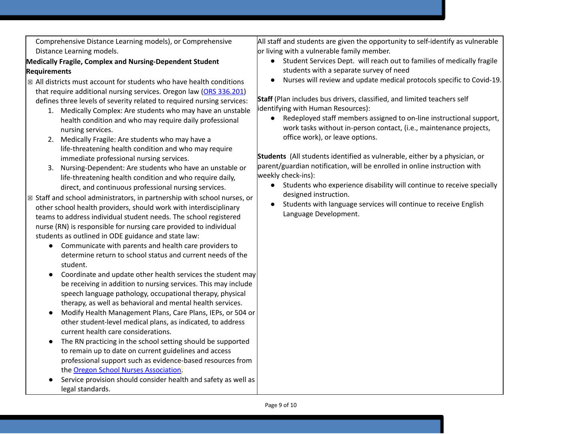Comprehensive Distance Learning models), or Comprehensive Distance Learning models.

# **Medically Fragile, Complex and Nursing-Dependent Student Requirements**

- $\boxtimes$  All districts must account for students who have health conditions that require additional nursing services. Oregon law (ORS [336.201\)](https://www.oregonlaws.org/ors/336.201) defines three levels of severity related to required nursing services:
	- 1. Medically Complex: Are students who may have an unstable health condition and who may require daily professional nursing services.
	- 2. Medically Fragile: Are students who may have a life-threatening health condition and who may require immediate professional nursing services.
	- 3. Nursing-Dependent: Are students who have an unstable or life-threatening health condition and who require daily, direct, and continuous professional nursing services.
- ☒ Staff and school administrators, in partnership with school nurses, or other school health providers, should work with interdisciplinary teams to address individual student needs. The school registered nurse (RN) is responsible for nursing care provided to individual students as outlined in ODE guidance and state law:
	- Communicate with parents and health care providers to determine return to school status and current needs of the student.
	- Coordinate and update other health services the student may be receiving in addition to nursing services. This may include speech language pathology, occupational therapy, physical therapy, as well as behavioral and mental health services.
	- Modify Health Management Plans, Care Plans, IEPs, or 504 or other student-level medical plans, as indicated, to address current health care considerations.
	- The RN practicing in the school setting should be supported to remain up to date on current guidelines and access professional support such as evidence-based resources from the Oregon School Nurses [Association](https://www.oregonschoolnurses.org/resources/covid-19-toolkit).
	- Service provision should consider health and safety as well as legal standards.

All staff and students are given the opportunity to self-identify as vulnerable or living with a vulnerable family member.

- Student Services Dept. will reach out to families of medically fragile students with a separate survey of need
- Nurses will review and update medical protocols specific to Covid-19.

**Staff** (Plan includes bus drivers, classified, and limited teachers self identifying with Human Resources):

● Redeployed staff members assigned to on-line instructional support, work tasks without in-person contact, (i.e., maintenance projects, office work), or leave options.

**Students** (All students identified as vulnerable, either by a physician, or parent/guardian notification, will be enrolled in online instruction with weekly check-ins):

- Students who experience disability will continue to receive specially designed instruction.
- Students with language services will continue to receive English Language Development.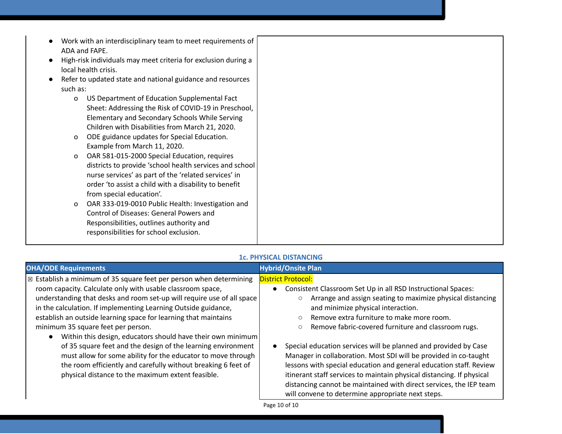- Work with an interdisciplinary team to meet requirements of ADA and FAPE.
- High-risk individuals may meet criteria for exclusion during a local health crisis.
- Refer to updated state and national guidance and resources such as:
	- o US Department of Education Supplemental Fact Sheet: Addressing the Risk of COVID-19 in Preschool, Elementary and Secondary Schools While Serving Children with Disabilities from March 21, 2020.
	- o ODE guidance updates for Special Education. Example from March 11, 2020.
	- o OAR 581-015-2000 Special Education, requires districts to provide 'school health services and school nurse services' as part of the 'related services' in order 'to assist a child with a disability to benefit from special education'.
	- o OAR 333-019-0010 Public Health: Investigation and Control of Diseases: General Powers and Responsibilities, outlines authority and responsibilities for school exclusion.

| $\vert$ $\boxtimes$ Establish a minimum of 35 square feet per person when determining<br><b>District Protocol:</b><br>room capacity. Calculate only with usable classroom space,<br>Consistent Classroom Set Up in all RSD Instructional Spaces:<br>$\bullet$<br>understanding that desks and room set-up will require use of all space<br>in the calculation. If implementing Learning Outside guidance,<br>and minimize physical interaction.<br>establish an outside learning space for learning that maintains<br>Remove extra furniture to make more room.<br>$\circ$<br>minimum 35 square feet per person.<br>Remove fabric-covered furniture and classroom rugs.<br>$\circ$<br>Within this design, educators should have their own minimum<br>of 35 square feet and the design of the learning environment<br>Special education services will be planned and provided by Case<br>must allow for some ability for the educator to move through<br>Manager in collaboration. Most SDI will be provided in co-taught<br>lessons with special education and general education staff. Review<br>the room efficiently and carefully without breaking 6 feet of<br>physical distance to the maximum extent feasible.<br>itinerant staff services to maintain physical distancing. If physical<br>distancing cannot be maintained with direct services, the IEP team | <b>OHA/ODE Requirements</b> | н. гипэкан изтамента<br><b>Hybrid/Onsite Plan</b>                                                               |
|---------------------------------------------------------------------------------------------------------------------------------------------------------------------------------------------------------------------------------------------------------------------------------------------------------------------------------------------------------------------------------------------------------------------------------------------------------------------------------------------------------------------------------------------------------------------------------------------------------------------------------------------------------------------------------------------------------------------------------------------------------------------------------------------------------------------------------------------------------------------------------------------------------------------------------------------------------------------------------------------------------------------------------------------------------------------------------------------------------------------------------------------------------------------------------------------------------------------------------------------------------------------------------------------------------------------------------------------------------------------|-----------------------------|-----------------------------------------------------------------------------------------------------------------|
| Page 10 of 10                                                                                                                                                                                                                                                                                                                                                                                                                                                                                                                                                                                                                                                                                                                                                                                                                                                                                                                                                                                                                                                                                                                                                                                                                                                                                                                                                       |                             | Arrange and assign seating to maximize physical distancing<br>will convene to determine appropriate next steps. |

# **1c. PHYSICAL DISTANCING**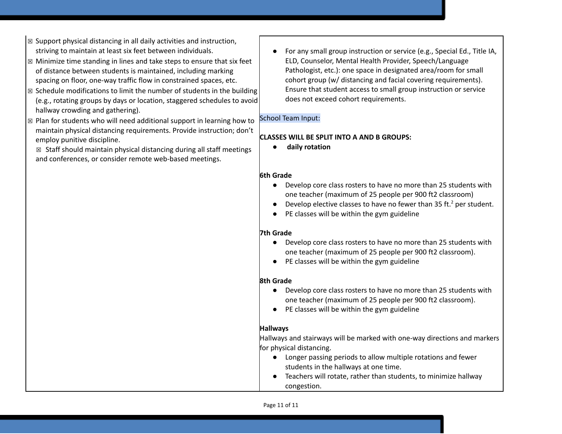- $\boxtimes$  Support physical distancing in all daily activities and instruction,
- ☒ Minimize time standing in lines and take steps to ensure that six feet of distance between students is maintained, including marking spacing on floor, one-way traffic flow in constrained spaces, etc.
- $\boxtimes$  Schedule modifications to limit the number of students in the building (e.g., rotating groups by days or location, staggered schedules to avoid hallway crowding and gathering).
- ☒ Plan for students who will need additional support in learning how to maintain physical distancing requirements. Provide instruction; don't employ punitive discipline.
	- $\boxtimes$  Staff should maintain physical distancing during all staff meetings and conferences, or consider remote web-based meetings.
- striving to maintain at least six feet between individuals. For any small group instruction or service (e.g., Special Ed., Title IA, ELD, Counselor, Mental Health Provider, Speech/Language Pathologist, etc.): one space in designated area/room for small cohort group (w/ distancing and facial covering requirements). Ensure that student access to small group instruction or service does not exceed cohort requirements.

### School Team Input:

### **CLASSES WILL BE SPLIT INTO A AND B GROUPS:**

**● daily rotation**

#### **6th Grade**

- Develop core class rosters to have no more than 25 students with one teacher (maximum of 25 people per 900 ft2 classroom)
- Develop elective classes to have no fewer than 35 ft.<sup>2</sup> per student.
- PE classes will be within the gym guideline

# **7th Grade**

- Develop core class rosters to have no more than 25 students with one teacher (maximum of 25 people per 900 ft2 classroom).
- PE classes will be within the gym guideline

# **8th Grade**

- Develop core class rosters to have no more than 25 students with one teacher (maximum of 25 people per 900 ft2 classroom).
- PE classes will be within the gym guideline

# **Hallways**

Hallways and stairways will be marked with one-way directions and markers for physical distancing.

- Longer passing periods to allow multiple rotations and fewer students in the hallways at one time.
- Teachers will rotate, rather than students, to minimize hallway congestion.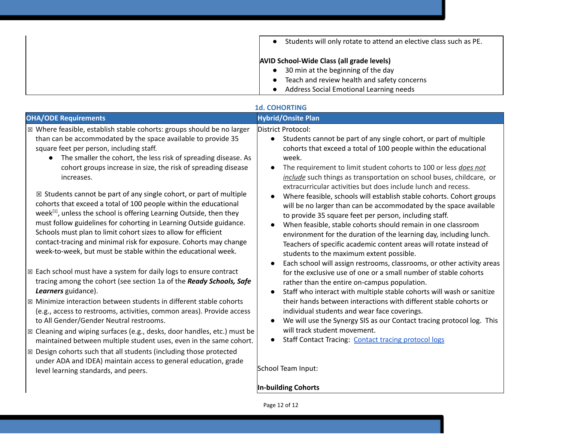| Students will only rotate to attend an elective class such as PE. |
|-------------------------------------------------------------------|
| <b>AVID School-Wide Class (all grade levels)</b>                  |
| 30 min at the beginning of the day                                |
| Teach and review health and safety concerns                       |
| Address Social Emotional Learning needs                           |

|                                                                                                                                                                                                                                                                                                                                                                                                                                                                                                                           | <b>1d. COHORTING</b>                                                                                                                                                                                                                                                                                                                                                                                                                                        |
|---------------------------------------------------------------------------------------------------------------------------------------------------------------------------------------------------------------------------------------------------------------------------------------------------------------------------------------------------------------------------------------------------------------------------------------------------------------------------------------------------------------------------|-------------------------------------------------------------------------------------------------------------------------------------------------------------------------------------------------------------------------------------------------------------------------------------------------------------------------------------------------------------------------------------------------------------------------------------------------------------|
| <b>OHA/ODE Requirements</b>                                                                                                                                                                                                                                                                                                                                                                                                                                                                                               | <b>Hybrid/Onsite Plan</b>                                                                                                                                                                                                                                                                                                                                                                                                                                   |
| ⊠ Where feasible, establish stable cohorts: groups should be no larger<br>than can be accommodated by the space available to provide 35<br>square feet per person, including staff.<br>The smaller the cohort, the less risk of spreading disease. As<br>cohort groups increase in size, the risk of spreading disease<br>increases.                                                                                                                                                                                      | District Protocol:<br>Students cannot be part of any single cohort, or part of multiple<br>cohorts that exceed a total of 100 people within the educational<br>week.<br>The requirement to limit student cohorts to 100 or less does not<br>include such things as transportation on school buses, childcare, or<br>extracurricular activities but does include lunch and recess.                                                                           |
| $\boxtimes$ Students cannot be part of any single cohort, or part of multiple<br>cohorts that exceed a total of 100 people within the educational<br>week $\vert$ <sup>11</sup> , unless the school is offering Learning Outside, then they<br>must follow guidelines for cohorting in Learning Outside guidance.<br>Schools must plan to limit cohort sizes to allow for efficient<br>contact-tracing and minimal risk for exposure. Cohorts may change<br>week-to-week, but must be stable within the educational week. | Where feasible, schools will establish stable cohorts. Cohort groups<br>will be no larger than can be accommodated by the space available<br>to provide 35 square feet per person, including staff.<br>When feasible, stable cohorts should remain in one classroom<br>environment for the duration of the learning day, including lunch.<br>Teachers of specific academic content areas will rotate instead of<br>students to the maximum extent possible. |
| ⊠ Each school must have a system for daily logs to ensure contract<br>tracing among the cohort (see section 1a of the Ready Schools, Safe<br>Learners guidance).                                                                                                                                                                                                                                                                                                                                                          | Each school will assign restrooms, classrooms, or other activity areas<br>for the exclusive use of one or a small number of stable cohorts<br>rather than the entire on-campus population.<br>Staff who interact with multiple stable cohorts will wash or sanitize                                                                                                                                                                                         |
| ⊠ Minimize interaction between students in different stable cohorts<br>(e.g., access to restrooms, activities, common areas). Provide access<br>to All Gender/Gender Neutral restrooms.                                                                                                                                                                                                                                                                                                                                   | their hands between interactions with different stable cohorts or<br>individual students and wear face coverings.<br>We will use the Synergy SIS as our Contact tracing protocol log. This                                                                                                                                                                                                                                                                  |
| $\boxtimes$ Cleaning and wiping surfaces (e.g., desks, door handles, etc.) must be<br>maintained between multiple student uses, even in the same cohort.                                                                                                                                                                                                                                                                                                                                                                  | will track student movement.<br><b>Staff Contact Tracing: Contact tracing protocol logs</b>                                                                                                                                                                                                                                                                                                                                                                 |

☒ Design cohorts such that all students (including those protected under ADA and IDEA) maintain access to general education, grade

level learning standards, and peers.

School Team Input:

# **In-building Cohorts**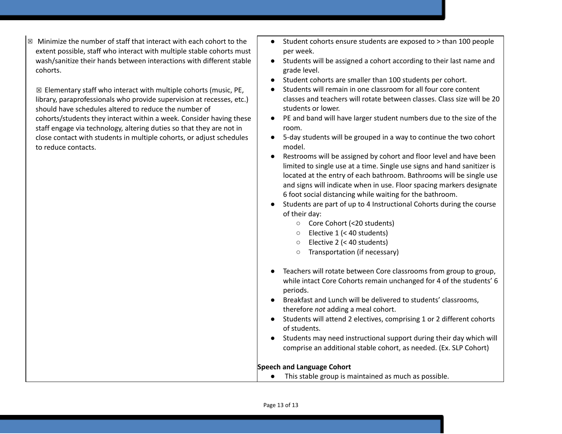$\boxtimes$  Minimize the number of staff that interact with each cohort to the extent possible, staff who interact with multiple stable cohorts must wash/sanitize their hands between interactions with different stable cohorts.

 $\boxtimes$  Elementary staff who interact with multiple cohorts (music, PE, library, paraprofessionals who provide supervision at recesses, etc.) should have schedules altered to reduce the number of cohorts/students they interact within a week. Consider having these staff engage via technology, altering duties so that they are not in close contact with students in multiple cohorts, or adjust schedules to reduce contacts.

- Student cohorts ensure students are exposed to > than 100 people per week.
- Students will be assigned a cohort according to their last name and grade level.
- Student cohorts are smaller than 100 students per cohort.
- Students will remain in one classroom for all four core content classes and teachers will rotate between classes. Class size will be 20 students or lower.
- PE and band will have larger student numbers due to the size of the room.
- 5-day students will be grouped in a way to continue the two cohort model.
- Restrooms will be assigned by cohort and floor level and have been limited to single use at a time. Single use signs and hand sanitizer is located at the entry of each bathroom. Bathrooms will be single use and signs will indicate when in use. Floor spacing markers designate 6 foot social distancing while waiting for the bathroom.
- Students are part of up to 4 Instructional Cohorts during the course of their day:
	- Core Cohort (<20 students)
	- Elective 1 (< 40 students)
	- Elective 2 (< 40 students)
	- Transportation (if necessary)
- Teachers will rotate between Core classrooms from group to group, while intact Core Cohorts remain unchanged for 4 of the students' 6 periods.
- Breakfast and Lunch will be delivered to students' classrooms, therefore *not* adding a meal cohort.
- Students will attend 2 electives, comprising 1 or 2 different cohorts of students.
- Students may need instructional support during their day which will comprise an additional stable cohort, as needed. (Ex. SLP Cohort)

#### **Speech and Language Cohort**

● This stable group is maintained as much as possible.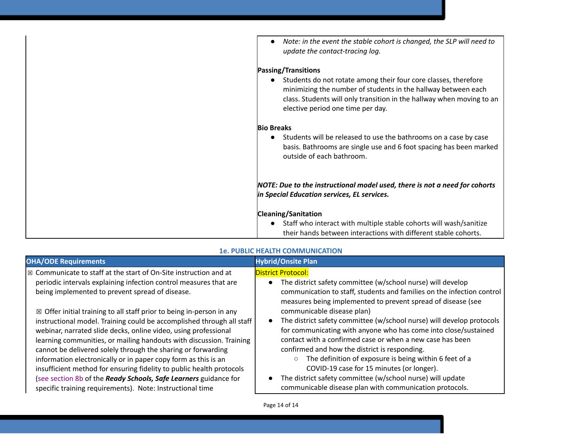| Note: in the event the stable cohort is changed, the SLP will need to<br>$\bullet$<br>update the contact-tracing log.                                                                                                                                       |
|-------------------------------------------------------------------------------------------------------------------------------------------------------------------------------------------------------------------------------------------------------------|
| <b>Passing/Transitions</b>                                                                                                                                                                                                                                  |
| Students do not rotate among their four core classes, therefore<br>$\bullet$<br>minimizing the number of students in the hallway between each<br>class. Students will only transition in the hallway when moving to an<br>elective period one time per day. |
| <b>Bio Breaks</b>                                                                                                                                                                                                                                           |
| Students will be released to use the bathrooms on a case by case<br>$\bullet$<br>basis. Bathrooms are single use and 6 foot spacing has been marked<br>outside of each bathroom.                                                                            |
| NOTE: Due to the instructional model used, there is not a need for cohorts<br>in Special Education services, EL services.                                                                                                                                   |
| <b>Cleaning/Sanitation</b><br>Staff who interact with multiple stable cohorts will wash/sanitize<br>their hands between interactions with different stable cohorts.                                                                                         |

| <b>OHA/ODE Requirements</b>                                                                                                                                                                                                                                                                                                                                                                                                                                                                                                                                                                                                                   | <b>Hybrid/Onsite Plan</b>                                                                                                                                                                                                                                                                                                                                                                                                                                                                                                         |
|-----------------------------------------------------------------------------------------------------------------------------------------------------------------------------------------------------------------------------------------------------------------------------------------------------------------------------------------------------------------------------------------------------------------------------------------------------------------------------------------------------------------------------------------------------------------------------------------------------------------------------------------------|-----------------------------------------------------------------------------------------------------------------------------------------------------------------------------------------------------------------------------------------------------------------------------------------------------------------------------------------------------------------------------------------------------------------------------------------------------------------------------------------------------------------------------------|
| $\boxtimes$ Communicate to staff at the start of On-Site instruction and at<br>periodic intervals explaining infection control measures that are<br>being implemented to prevent spread of disease.                                                                                                                                                                                                                                                                                                                                                                                                                                           | <b>District Protocol:</b><br>The district safety committee (w/school nurse) will develop<br>$\bullet$<br>communication to staff, students and families on the infection control<br>measures being implemented to prevent spread of disease (see                                                                                                                                                                                                                                                                                   |
| $\boxtimes$ Offer initial training to all staff prior to being in-person in any<br>instructional model. Training could be accomplished through all staff<br>webinar, narrated slide decks, online video, using professional<br>learning communities, or mailing handouts with discussion. Training<br>cannot be delivered solely through the sharing or forwarding<br>information electronically or in paper copy form as this is an<br>insufficient method for ensuring fidelity to public health protocols<br>(see section 8b of the Ready Schools, Safe Learners guidance for<br>specific training requirements). Note: Instructional time | communicable disease plan)<br>The district safety committee (w/school nurse) will develop protocols<br>for communicating with anyone who has come into close/sustained<br>contact with a confirmed case or when a new case has been<br>confirmed and how the district is responding.<br>The definition of exposure is being within 6 feet of a<br>COVID-19 case for 15 minutes (or longer).<br>The district safety committee (w/school nurse) will update<br>$\bullet$<br>communicable disease plan with communication protocols. |

#### **1e. PUBLIC HEALTH COMMUNICATION**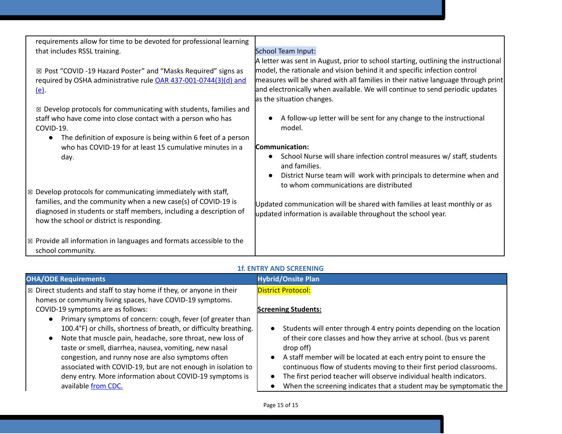| requirements allow for time to be devoted for professional learning<br>that includes RSSL training.                                                                                                                                                            | <b>School Team Input:</b>                                                                                                                                                                                                                                                                                                                                       |
|----------------------------------------------------------------------------------------------------------------------------------------------------------------------------------------------------------------------------------------------------------------|-----------------------------------------------------------------------------------------------------------------------------------------------------------------------------------------------------------------------------------------------------------------------------------------------------------------------------------------------------------------|
| ⊠ Post "COVID -19 Hazard Poster" and "Masks Required" signs as<br>required by OSHA administrative rule OAR 437-001-0744(3)(d) and<br><u>(e)</u>                                                                                                                | A letter was sent in August, prior to school starting, outlining the instructional<br>model, the rationale and vision behind it and specific infection control<br>measures will be shared with all families in their native language through print<br>and electronically when available. We will continue to send periodic updates<br>as the situation changes. |
| $\boxtimes$ Develop protocols for communicating with students, families and<br>staff who have come into close contact with a person who has<br>COVID-19.                                                                                                       | A follow-up letter will be sent for any change to the instructional<br>model.                                                                                                                                                                                                                                                                                   |
| The definition of exposure is being within 6 feet of a person<br>$\bullet$<br>who has COVID-19 for at least 15 cumulative minutes in a                                                                                                                         | Communication:                                                                                                                                                                                                                                                                                                                                                  |
| day.                                                                                                                                                                                                                                                           | School Nurse will share infection control measures w/ staff, students<br>and families.                                                                                                                                                                                                                                                                          |
|                                                                                                                                                                                                                                                                | District Nurse team will work with principals to determine when and<br>to whom communications are distributed                                                                                                                                                                                                                                                   |
| Develop protocols for communicating immediately with staff,<br>$\boxtimes$<br>families, and the community when a new case(s) of COVID-19 is<br>diagnosed in students or staff members, including a description of<br>how the school or district is responding. | Updated communication will be shared with families at least monthly or as<br>updated information is available throughout the school year.                                                                                                                                                                                                                       |
| $\boxtimes$ Provide all information in languages and formats accessible to the<br>school community.                                                                                                                                                            |                                                                                                                                                                                                                                                                                                                                                                 |

# **1f. ENTRY AND SCREENING**

| <b>OHA/ODE Requirements</b>                                                     | <b>Hybrid/Onsite Plan</b>                                                     |
|---------------------------------------------------------------------------------|-------------------------------------------------------------------------------|
| $\mathbb{Z}$ Direct students and staff to stay home if they, or anyone in their | <b>District Protocol:</b>                                                     |
| homes or community living spaces, have COVID-19 symptoms.                       |                                                                               |
| COVID-19 symptoms are as follows:                                               | <b>Screening Students:</b>                                                    |
| Primary symptoms of concern: cough, fever (of greater than                      |                                                                               |
| 100.4°F) or chills, shortness of breath, or difficulty breathing.               | Students will enter through 4 entry points depending on the location          |
| Note that muscle pain, headache, sore throat, new loss of                       | of their core classes and how they arrive at school. (bus vs parent           |
| taste or smell, diarrhea, nausea, vomiting, new nasal                           | drop off)                                                                     |
| congestion, and runny nose are also symptoms often                              | A staff member will be located at each entry point to ensure the<br>$\bullet$ |
| associated with COVID-19, but are not enough in isolation to                    | continuous flow of students moving to their first period classrooms.          |
| deny entry. More information about COVID-19 symptoms is                         | The first period teacher will observe individual health indicators.           |
| available from CDC.                                                             | When the screening indicates that a student may be symptomatic the            |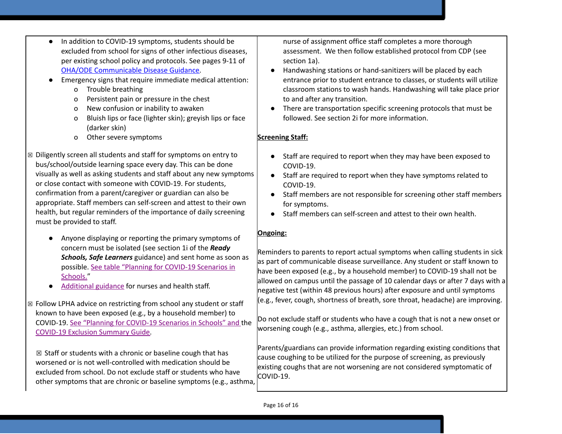- In addition to COVID-19 symptoms, students should be excluded from school for signs of other infectious diseases, per existing school policy and protocols. See pages 9-11 of [OHA/ODE Communicable](https://www.oregon.gov/ode/students-and-family/healthsafety/Documents/commdisease.pdf) Disease Guidance.
- Emergency signs that require immediate medical attention:
	- o Trouble breathing
	- o Persistent pain or pressure in the chest
	- o New confusion or inability to awaken
	- o Bluish lips or face (lighter skin); greyish lips or face (darker skin)
	- o Other severe symptoms
- ☒ Diligently screen all students and staff for symptoms on entry to bus/school/outside learning space every day. This can be done visually as well as asking students and staff about any new symptoms or close contact with someone with COVID-19. For students, confirmation from a parent/caregiver or guardian can also be appropriate. Staff members can self-screen and attest to their own health, but regular reminders of the importance of daily screening must be provided to staff.
	- Anyone displaying or reporting the primary symptoms of concern must be isolated (see section 1i of the *Ready Schools, Safe Learners* guidance) and sent home as soon as possible[.](https://www.oregon.gov/ode/students-and-family/healthsafety/Documents/Planning%20and%20Responding%20to%20COVID-19%20Scenarios%20in%20Schools.pdf) See table "Planning for [COVID-19](https://www.oregon.gov/ode/students-and-family/healthsafety/Documents/Planning%20and%20Responding%20to%20COVID-19%20Scenarios%20in%20Schools.pdf) Scenarios in [Schools."](https://www.oregon.gov/ode/students-and-family/healthsafety/Documents/Planning%20and%20Responding%20to%20COVID-19%20Scenarios%20in%20Schools.pdf)
	- [Additional](https://www.oregon.gov/ode/students-and-family/healthsafety/Documents/Additional%20Considerations%20for%20Staff%20Working%20with%20Students%20with%20Complex%20Needs.pdf) guidance for nurses and health staff.
- ☒ Follow LPHA advice on restricting from school any student or staff known to have been exposed (e.g., by a household member) to COVID-19. [S](https://www.oregon.gov/ode/students-and-family/healthsafety/Documents/Planning%20and%20Responding%20to%20COVID-19%20Scenarios%20in%20Schools.pdf)ee "Planning for [COVID-19](https://www.oregon.gov/ode/students-and-family/healthsafety/Documents/Planning%20and%20Responding%20to%20COVID-19%20Scenarios%20in%20Schools.pdf) Scenarios in Schools" and the [COVID-19](https://www.oregon.gov/ode/students-and-family/healthsafety/Documents/COVID-19%20Exclusion%20Summary%20Chart.pdf) Exclusion Summary Guide.

 $\boxtimes$  Staff or students with a chronic or baseline cough that has worsened or is not well-controlled with medication should be excluded from school. Do not exclude staff or students who have other symptoms that are chronic or baseline symptoms (e.g., asthma, nurse of assignment office staff completes a more thorough assessment. We then follow established protocol from CDP (see section 1a).

- Handwashing stations or hand-sanitizers will be placed by each entrance prior to student entrance to classes, or students will utilize classroom stations to wash hands. Handwashing will take place prior to and after any transition.
- There are transportation specific screening protocols that must be followed. See section 2i for more information.

# **Screening Staff:**

- Staff are required to report when they may have been exposed to COVID-19.
- Staff are required to report when they have symptoms related to COVID-19.
- Staff members are not responsible for screening other staff members for symptoms.
- Staff members can self-screen and attest to their own health.

# **Ongoing:**

Reminders to parents to report actual symptoms when calling students in sick as part of communicable disease surveillance. Any student or staff known to have been exposed (e.g., by a household member) to COVID-19 shall not be allowed on campus until the passage of 10 calendar days or after 7 days with a negative test (within 48 previous hours) after exposure and until symptoms (e.g., fever, cough, shortness of breath, sore throat, headache) are improving.

Do not exclude staff or students who have a cough that is not a new onset or worsening cough (e.g., asthma, allergies, etc.) from school.

Parents/guardians can provide information regarding existing conditions that cause coughing to be utilized for the purpose of screening, as previously existing coughs that are not worsening are not considered symptomatic of COVID-19.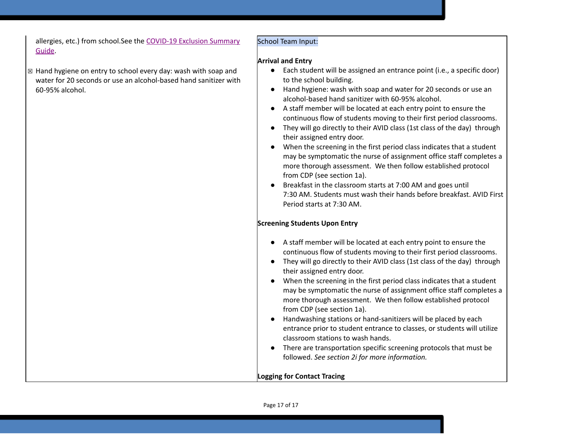allergies, etc.) from school.See the [COVID-19](https://www.oregon.gov/ode/students-and-family/healthsafety/Documents/COVID-19%20Exclusion%20Summary%20Chart.pdf) Exclusion Summary [Guide](https://www.oregon.gov/ode/students-and-family/healthsafety/Documents/COVID-19%20Exclusion%20Summary%20Chart.pdf).

# ☒ Hand hygiene on entry to school every day: wash with soap and water for 20 seconds or use an alcohol-based hand sanitizer with 60-95% alcohol.

### School Team Input:

#### **Arrival and Entry**

- Each student will be assigned an entrance point (i.e., a specific door) to the school building.
- Hand hygiene: wash with soap and water for 20 seconds or use an alcohol-based hand sanitizer with 60-95% alcohol.
- A staff member will be located at each entry point to ensure the continuous flow of students moving to their first period classrooms.
- They will go directly to their AVID class (1st class of the day) through their assigned entry door.
- When the screening in the first period class indicates that a student may be symptomatic the nurse of assignment office staff completes a more thorough assessment. We then follow established protocol from CDP (see section 1a).
- Breakfast in the classroom starts at 7:00 AM and goes until 7:30 AM. Students must wash their hands before breakfast. AVID First Period starts at 7:30 AM.

# **Screening Students Upon Entry**

| • A staff member will be located at each entry point to ensure the                 |
|------------------------------------------------------------------------------------|
| continuous flow of students moving to their first period classrooms.               |
| • They will go directly to their AVID class (1st class of the day) through         |
| their assigned entry door.                                                         |
| When the screening in the first period class indicates that a student<br>$\bullet$ |
| may be symptomatic the nurse of assignment office staff completes a                |

- may be symptomatic the nurse of assignment office staff completes a more thorough assessment. We then follow established protocol from CDP (see section 1a).
- Handwashing stations or hand-sanitizers will be placed by each entrance prior to student entrance to classes, or students will utilize classroom stations to wash hands.
- There are transportation specific screening protocols that must be followed. *See section 2i for more information.*

# **Logging for Contact Tracing**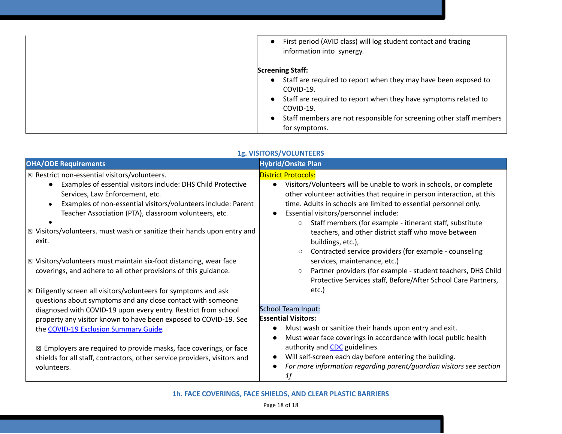| First period (AVID class) will log student contact and tracing<br>$\bullet$<br>information into synergy. |
|----------------------------------------------------------------------------------------------------------|
| <b>Screening Staff:</b>                                                                                  |
| Staff are required to report when they may have been exposed to<br>$\bullet$<br>COVID-19.                |
| Staff are required to report when they have symptoms related to<br>$\bullet$<br>COVID-19.                |
| Staff members are not responsible for screening other staff members<br>$\bullet$<br>for symptoms.        |

#### **1g. VISITORS/VOLUNTEERS**

| <b>OHA/ODE Requirements</b>                                                               | <b>Hybrid/Onsite Plan</b>                                                              |
|-------------------------------------------------------------------------------------------|----------------------------------------------------------------------------------------|
| $\boxtimes$ Restrict non-essential visitors/volunteers.                                   | <b>District Protocols:</b>                                                             |
| Examples of essential visitors include: DHS Child Protective                              | Visitors/Volunteers will be unable to work in schools, or complete<br>$\bullet$        |
| Services, Law Enforcement, etc.                                                           | other volunteer activities that require in person interaction, at this                 |
| Examples of non-essential visitors/volunteers include: Parent                             | time. Adults in schools are limited to essential personnel only.                       |
| Teacher Association (PTA), classroom volunteers, etc.                                     | Essential visitors/personnel include:<br>$\bullet$                                     |
|                                                                                           | Staff members (for example - itinerant staff, substitute<br>$\circ$                    |
| $\vert$ $\boxtimes$ Visitors/volunteers. must wash or sanitize their hands upon entry and | teachers, and other district staff who move between                                    |
| exit.                                                                                     | buildings, etc.),                                                                      |
|                                                                                           | Contracted service providers (for example - counseling<br>$\circ$                      |
| $\boxtimes$ Visitors/volunteers must maintain six-foot distancing, wear face              | services, maintenance, etc.)                                                           |
| coverings, and adhere to all other provisions of this guidance.                           | Partner providers (for example - student teachers, DHS Child<br>$\circ$                |
|                                                                                           | Protective Services staff, Before/After School Care Partners,                          |
| $\boxtimes$ Diligently screen all visitors/volunteers for symptoms and ask                | etc.)                                                                                  |
| questions about symptoms and any close contact with someone                               |                                                                                        |
| diagnosed with COVID-19 upon every entry. Restrict from school                            | <b>School Team Input:</b>                                                              |
| property any visitor known to have been exposed to COVID-19. See                          | <b>Essential Visitors:</b>                                                             |
| the COVID-19 Exclusion Summary Guide.                                                     | Must wash or sanitize their hands upon entry and exit.<br>$\bullet$                    |
|                                                                                           | Must wear face coverings in accordance with local public health<br>$\bullet$           |
| $\boxtimes$ Employers are required to provide masks, face coverings, or face              | authority and <b>CDC</b> guidelines.                                                   |
| shields for all staff, contractors, other service providers, visitors and                 | Will self-screen each day before entering the building.<br>٠                           |
| volunteers.                                                                               | For more information regarding parent/guardian visitors see section<br>$\bullet$<br>1f |

**1h. FACE COVERINGS, FACE SHIELDS, AND CLEAR PLASTIC BARRIERS**

Page 18 of 18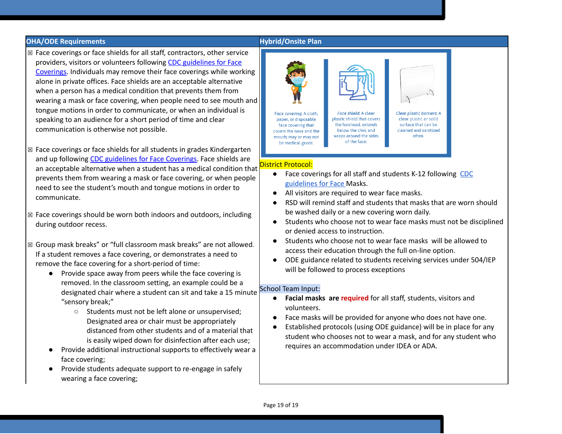#### **OHA/ODE Requirements Hybrid/Onsite Plan**

- ☒ Face coverings or face shields for all staff, contractors, other service providers, visitors or volunteers following [C](https://www.cdc.gov/coronavirus/2019-ncov/prevent-getting-sick/diy-cloth-face-coverings.html)DC [guidelines](https://www.cdc.gov/coronavirus/2019-ncov/prevent-getting-sick/diy-cloth-face-coverings.html) for Face [Coverings.](https://www.cdc.gov/coronavirus/2019-ncov/prevent-getting-sick/diy-cloth-face-coverings.html) Individuals may remove their face coverings while working alone in private offices. Face shields are an acceptable alternative when a person has a medical condition that prevents them from wearing a mask or face covering, when people need to see mouth and tongue motions in order to communicate, or when an individual is speaking to an audience for a short period of time and clear communication is otherwise not possible.
- ☒ Face coverings or face shields for all students in grades Kindergarten and up following [C](https://www.cdc.gov/coronavirus/2019-ncov/prevent-getting-sick/diy-cloth-face-coverings.html)DC [guidelines](https://www.cdc.gov/coronavirus/2019-ncov/prevent-getting-sick/diy-cloth-face-coverings.html) for Face Coverings. Face shields are an acceptable alternative when a student has a medical condition that prevents them from wearing a mask or face covering, or when people need to see the student's mouth and tongue motions in order to communicate.
- $\boxtimes$  Face coverings should be worn both indoors and outdoors, including during outdoor recess.
- ☒ Group mask breaks" or "full classroom mask breaks" are not allowed. If a student removes a face covering, or demonstrates a need to remove the face covering for a short-period of time:
	- Provide space away from peers while the face covering is removed. In the classroom setting, an example could be a designated chair where a student can sit and take a 15 minute "sensory break;"
		- Students must not be left alone or unsupervised; Designated area or chair must be appropriately distanced from other students and of a material that is easily wiped down for disinfection after each use;
	- Provide additional instructional supports to effectively wear a face covering;
	- Provide students adequate support to re-engage in safely wearing a face covering;

#### Face covering: A cloth. Face shield: A clear Clear plastic barriers: A plastic shield that covers clear plastic or solid paper, or disposable face covering that the forehead, extends surface that can be below the chin, and cleaned and sanitized covers the nose and the wraps around the sides mouth; may or may not often. of the face. be medical grade. District Protocol:

- Face coverings for all staff and students K-12 following [CDC](https://www.cdc.gov/coronavirus/2019-ncov/prevent-getting-sick/diy-cloth-face-coverings.html) [guidelines](https://www.cdc.gov/coronavirus/2019-ncov/prevent-getting-sick/diy-cloth-face-coverings.html) for Face Masks.
- All visitors are required to wear face masks.
- RSD will remind staff and students that masks that are worn should be washed daily or a new covering worn daily.
- Students who choose not to wear face masks must not be disciplined or denied access to instruction.
- Students who choose not to wear face masks will be allowed to access their education through the full on-line option.
- ODE guidance related to students receiving services under 504/IEP will be followed to process exceptions

#### School Team Input:

- **Facial masks are required** for all staff, students, visitors and volunteers.
- Face masks will be provided for anyone who does not have one.
- Established protocols (using ODE guidance) will be in place for any student who chooses not to wear a mask, and for any student who requires an accommodation under IDEA or ADA.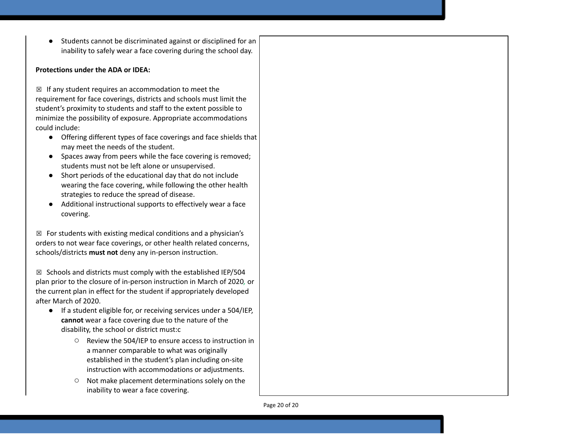● Students cannot be discriminated against or disciplined for an inability to safely wear a face covering during the school day.

#### **Protections under the ADA or IDEA:**

☒ If any student requires an accommodation to meet the requirement for face coverings, districts and schools must limit the student's proximity to students and staff to the extent possible to minimize the possibility of exposure. Appropriate accommodations could include:

- Offering different types of face coverings and face shields that may meet the needs of the student.
- Spaces away from peers while the face covering is removed; students must not be left alone or unsupervised.
- Short periods of the educational day that do not include wearing the face covering, while following the other health strategies to reduce the spread of disease.
- Additional instructional supports to effectively wear a face covering.

 $\boxtimes$  For students with existing medical conditions and a physician's orders to not wear face coverings, or other health related concerns, schools/districts **must not** deny any in-person instruction.

 $\boxtimes$  Schools and districts must comply with the established IEP/504 plan prior to the closure of in-person instruction in March of 2020*,* or the current plan in effect for the student if appropriately developed after March of 2020.

- If a student eligible for, or receiving services under a 504/IEP, **cannot** wear a face covering due to the nature of the disability, the school or district must:c
	- Review the 504/IEP to ensure access to instruction in a manner comparable to what was originally established in the student's plan including on-site instruction with accommodations or adjustments.
	- Not make placement determinations solely on the inability to wear a face covering.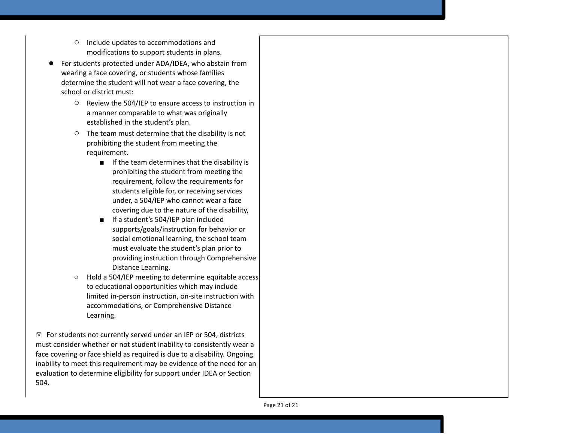- o Include updates to accommodations and modifications to support students in plans.
- For students protected under ADA/IDEA, who abstain fr o m wearing a face covering, or students whose families determine the student will not wear a face covering, the school or district must:
	- Review the 504/IEP to ensure access to instruction in a manner comparable to what was originally established in the student's plan.
	- $\circ$  The team must determine that the disability is not prohibiting the student from meeting the requirement.
		- If the team determines that the disability is prohibiting the student from meeting the requirement, follow the requirements for students eligible for, or receiving services under, a 504/IEP who cannot wear a face covering due to the nature of the disability,
		- If a student's 504/IEP plan included supports/goals/instruction for behavior or social emotional learning, the school team must evaluate the student's plan prior to providing instruction through Comprehensive Distance Learning.
	- o Hold a 504/IEP meeting to determine equitable access to educational opportunities which may include limited in-person instruction, on-site instruction wit h accommodations, or Comprehensive Distance Learning.

 $\boxtimes$  For students not currently served under an IEP or 504, districts must consider whether or not student inability to consistently wear a face covering or face shield as required is due to a disability. Ongoing inability to meet this requirement may be evidence of the need for an evaluation to determine eligibility for support under IDEA or Section 504.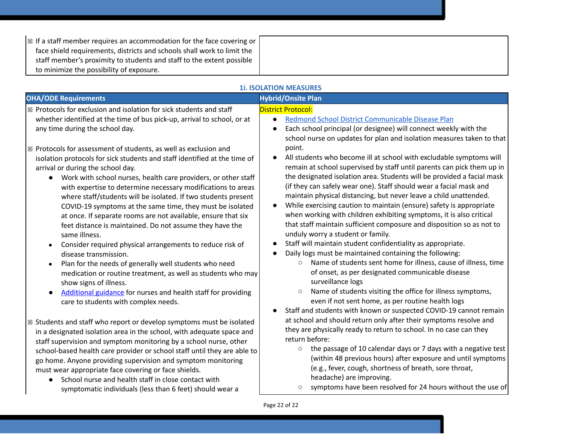| $\mathbb{R}$ If a staff member requires an accommodation for the face covering or |  |
|-----------------------------------------------------------------------------------|--|
| face shield requirements, districts and schools shall work to limit the           |  |
| staff member's proximity to students and staff to the extent possible             |  |
| to minimize the possibility of exposure.                                          |  |

|  | <b>11. ISOLATION MEASURES</b> |
|--|-------------------------------|
|--|-------------------------------|

| <b>OHA/ODE Requirements</b>                                                                                                                                                                                                                                                                                                                                                                                                                                                                                                                                                                | <b>Hybrid/Onsite Plan</b>                                                                                                                                                                                                                                                                                                                                                                                                                                                                                                                                                                           |
|--------------------------------------------------------------------------------------------------------------------------------------------------------------------------------------------------------------------------------------------------------------------------------------------------------------------------------------------------------------------------------------------------------------------------------------------------------------------------------------------------------------------------------------------------------------------------------------------|-----------------------------------------------------------------------------------------------------------------------------------------------------------------------------------------------------------------------------------------------------------------------------------------------------------------------------------------------------------------------------------------------------------------------------------------------------------------------------------------------------------------------------------------------------------------------------------------------------|
| ⊠ Protocols for exclusion and isolation for sick students and staff<br>whether identified at the time of bus pick-up, arrival to school, or at<br>any time during the school day.                                                                                                                                                                                                                                                                                                                                                                                                          | <b>District Protocol:</b><br>Redmond School District Communicable Disease Plan<br>$\bullet$<br>Each school principal (or designee) will connect weekly with the<br>school nurse on updates for plan and isolation measures taken to that                                                                                                                                                                                                                                                                                                                                                            |
| $\boxtimes$ Protocols for assessment of students, as well as exclusion and<br>isolation protocols for sick students and staff identified at the time of<br>arrival or during the school day.<br>Work with school nurses, health care providers, or other staff<br>with expertise to determine necessary modifications to areas<br>where staff/students will be isolated. If two students present<br>COVID-19 symptoms at the same time, they must be isolated<br>at once. If separate rooms are not available, ensure that six<br>feet distance is maintained. Do not assume they have the | point.<br>All students who become ill at school with excludable symptoms will<br>remain at school supervised by staff until parents can pick them up in<br>the designated isolation area. Students will be provided a facial mask<br>(if they can safely wear one). Staff should wear a facial mask and<br>maintain physical distancing, but never leave a child unattended.<br>While exercising caution to maintain (ensure) safety is appropriate<br>when working with children exhibiting symptoms, it is also critical<br>that staff maintain sufficient composure and disposition so as not to |
| same illness.<br>Consider required physical arrangements to reduce risk of<br>disease transmission.<br>Plan for the needs of generally well students who need<br>medication or routine treatment, as well as students who may<br>show signs of illness.<br>Additional guidance for nurses and health staff for providing<br>care to students with complex needs.                                                                                                                                                                                                                           | unduly worry a student or family.<br>Staff will maintain student confidentiality as appropriate.<br>Daily logs must be maintained containing the following:<br>Name of students sent home for illness, cause of illness, time<br>$\circ$<br>of onset, as per designated communicable disease<br>surveillance logs<br>Name of students visiting the office for illness symptoms,<br>$\circlearrowright$<br>even if not sent home, as per routine health logs<br>Staff and students with known or suspected COVID-19 cannot remain                                                                    |
| ⊠ Students and staff who report or develop symptoms must be isolated<br>in a designated isolation area in the school, with adequate space and<br>staff supervision and symptom monitoring by a school nurse, other<br>school-based health care provider or school staff until they are able to<br>go home. Anyone providing supervision and symptom monitoring<br>must wear appropriate face covering or face shields.<br>School nurse and health staff in close contact with<br>$\bullet$<br>symptomatic individuals (less than 6 feet) should wear a                                     | at school and should return only after their symptoms resolve and<br>they are physically ready to return to school. In no case can they<br>return before:<br>the passage of 10 calendar days or 7 days with a negative test<br>$\circ$<br>(within 48 previous hours) after exposure and until symptoms<br>(e.g., fever, cough, shortness of breath, sore throat,<br>headache) are improving.<br>symptoms have been resolved for 24 hours without the use of                                                                                                                                         |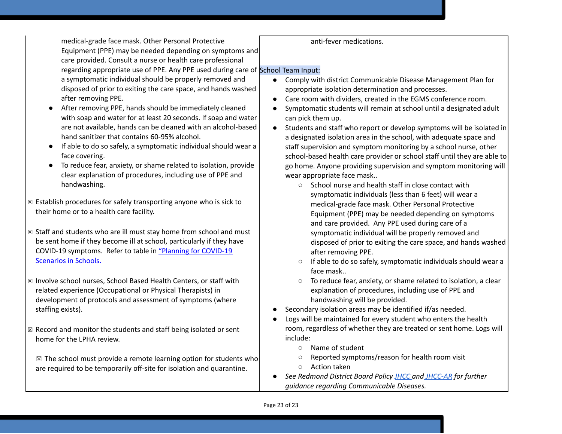medical-grade face mask. Other Personal Protective Equipment (PPE) may be needed depending on symptoms and care provided. Consult a nurse or health care professional regarding appropriate use of PPE. Any PPE used during care of School Team Input:

a symptomatic individual should be properly removed and disposed of prior to exiting the care space, and hands washed after removing PPE.

- After removing PPE, hands should be immediately cleaned with soap and water for at least 20 seconds. If soap and water are not available, hands can be cleaned with an alcohol-based hand sanitizer that contains 60-95% alcohol.
- If able to do so safely, a symptomatic individual should wear a face covering.
- To reduce fear, anxiety, or shame related to isolation, provide clear explanation of procedures, including use of PPE and handwashing.
- $\boxtimes$  Establish procedures for safely transporting anyone who is sick to their home or to a health care facility.
- ☒ Staff and students who are ill must stay home from school and must be sent home if they become ill at school, particularly if they have COVID-19 symptoms. Refer to table in ["](https://www.oregon.gov/ode/students-and-family/healthsafety/Documents/Planning%20and%20Responding%20to%20COVID-19%20Scenarios%20in%20Schools%20August%202020.pdf)Planning for [COVID-19](https://www.oregon.gov/ode/students-and-family/healthsafety/Documents/Planning%20and%20Responding%20to%20COVID-19%20Scenarios%20in%20Schools%20August%202020.pdf) [Scenarios](https://www.oregon.gov/ode/students-and-family/healthsafety/Documents/Planning%20and%20Responding%20to%20COVID-19%20Scenarios%20in%20Schools%20August%202020.pdf) in Schools.
- ☒ Involve school nurses, School Based Health Centers, or staff with related experience (Occupational or Physical Therapists) in development of protocols and assessment of symptoms (where staffing exists).
- $\boxtimes$  Record and monitor the students and staff being isolated or sent home for the LPHA review.

 $\boxtimes$  The school must provide a remote learning option for students who are required to be temporarily off-site for isolation and quarantine.

#### anti-fever medications.

- Comply with district Communicable Disease Management Plan for appropriate isolation determination and processes.
- Care room with dividers, created in the EGMS conference room.
- Symptomatic students will remain at school until a designated adult can pick them up.
- Students and staff who report or develop symptoms will be isolated in a designated isolation area in the school, with adequate space and staff supervision and symptom monitoring by a school nurse, other school-based health care provider or school staff until they are able to go home. Anyone providing supervision and symptom monitoring will wear appropriate face mask..
	- School nurse and health staff in close contact with symptomatic individuals (less than 6 feet) will wear a medical-grade face mask. Other Personal Protective Equipment (PPE) may be needed depending on symptoms and care provided. Any PPE used during care of a symptomatic individual will be properly removed and disposed of prior to exiting the care space, and hands washed after removing PPE.
	- If able to do so safely, symptomatic individuals should wear a face mask..
	- To reduce fear, anxiety, or shame related to isolation, a clear explanation of procedures, including use of PPE and handwashing will be provided.
- Secondary isolation areas may be identified if/as needed.
- Logs will be maintained for every student who enters the health room, regardless of whether they are treated or sent home. Logs will include:
	- Name of student
	- Reported symptoms/reason for health room visit
	- Action taken
- *● See Redmond District Board Policy [JHCC](https://policy.osba.org/redmond/J/JHCC%20G1.PDF) and [JHCC-AR](https://policy.osba.org/redmond/J/JHCC%20R%20G1.PDF) for further guidance regarding Communicable Diseases.*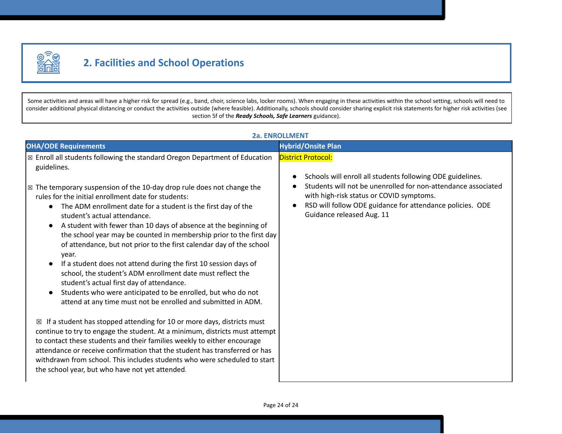

# **2. Facilities and School Operations**

Some activities and areas will have a higher risk for spread (e.g., band, choir, science labs, locker rooms). When engaging in these activities within the school setting, schools will need to consider additional physical distancing or conduct the activities outside (where feasible). Additionally, schools should consider sharing explicit risk statements for higher risk activities (see section 5f of the *Ready Schools, Safe Learners* guidance).

| 2a. ENROLLMENT                                                                                                                                                                                                                                                                                                                                                                                                                                                                                                                                                                                                                                                                                                                                                                                                                                                                      |                                                                                                                                                                                                                                                                                                |
|-------------------------------------------------------------------------------------------------------------------------------------------------------------------------------------------------------------------------------------------------------------------------------------------------------------------------------------------------------------------------------------------------------------------------------------------------------------------------------------------------------------------------------------------------------------------------------------------------------------------------------------------------------------------------------------------------------------------------------------------------------------------------------------------------------------------------------------------------------------------------------------|------------------------------------------------------------------------------------------------------------------------------------------------------------------------------------------------------------------------------------------------------------------------------------------------|
| <b>OHA/ODE Requirements</b>                                                                                                                                                                                                                                                                                                                                                                                                                                                                                                                                                                                                                                                                                                                                                                                                                                                         | <b>Hybrid/Onsite Plan</b>                                                                                                                                                                                                                                                                      |
| ⊠ Enroll all students following the standard Oregon Department of Education<br>guidelines.<br>$\mathbb{Z}$ The temporary suspension of the 10-day drop rule does not change the<br>rules for the initial enrollment date for students:<br>The ADM enrollment date for a student is the first day of the<br>student's actual attendance.<br>A student with fewer than 10 days of absence at the beginning of<br>the school year may be counted in membership prior to the first day<br>of attendance, but not prior to the first calendar day of the school<br>year.<br>If a student does not attend during the first 10 session days of<br>school, the student's ADM enrollment date must reflect the<br>student's actual first day of attendance.<br>Students who were anticipated to be enrolled, but who do not<br>attend at any time must not be enrolled and submitted in ADM. | <b>District Protocol:</b><br>Schools will enroll all students following ODE guidelines.<br>Students will not be unenrolled for non-attendance associated<br>with high-risk status or COVID symptoms.<br>RSD will follow ODE guidance for attendance policies. ODE<br>Guidance released Aug. 11 |
| $\boxtimes$ If a student has stopped attending for 10 or more days, districts must<br>continue to try to engage the student. At a minimum, districts must attempt<br>to contact these students and their families weekly to either encourage<br>attendance or receive confirmation that the student has transferred or has<br>withdrawn from school. This includes students who were scheduled to start<br>the school year, but who have not yet attended.                                                                                                                                                                                                                                                                                                                                                                                                                          |                                                                                                                                                                                                                                                                                                |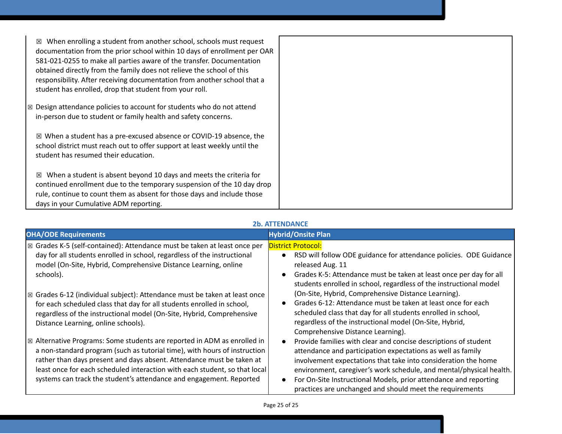| When enrolling a student from another school, schools must request<br>⊠<br>documentation from the prior school within 10 days of enrollment per OAR<br>581-021-0255 to make all parties aware of the transfer. Documentation<br>obtained directly from the family does not relieve the school of this<br>responsibility. After receiving documentation from another school that a<br>student has enrolled, drop that student from your roll. |  |
|----------------------------------------------------------------------------------------------------------------------------------------------------------------------------------------------------------------------------------------------------------------------------------------------------------------------------------------------------------------------------------------------------------------------------------------------|--|
| $\boxtimes$ Design attendance policies to account for students who do not attend<br>in-person due to student or family health and safety concerns.                                                                                                                                                                                                                                                                                           |  |
| ⊠ When a student has a pre-excused absence or COVID-19 absence, the<br>school district must reach out to offer support at least weekly until the<br>student has resumed their education.                                                                                                                                                                                                                                                     |  |
| When a student is absent beyond 10 days and meets the criteria for<br>⊠<br>continued enrollment due to the temporary suspension of the 10 day drop<br>rule, continue to count them as absent for those days and include those<br>days in your Cumulative ADM reporting.                                                                                                                                                                      |  |

# **2b. ATTENDANCE**

| <b>OHA/ODE Requirements</b>                                                                  | <b>Hybrid/Onsite Plan</b>                                                       |
|----------------------------------------------------------------------------------------------|---------------------------------------------------------------------------------|
| $\mathbb{Z}$ Grades K-5 (self-contained): Attendance must be taken at least once per         | <b>District Protocol:</b>                                                       |
| day for all students enrolled in school, regardless of the instructional                     | RSD will follow ODE guidance for attendance policies. ODE Guidance<br>$\bullet$ |
| model (On-Site, Hybrid, Comprehensive Distance Learning, online                              | released Aug. 11                                                                |
| schools).                                                                                    | Grades K-5: Attendance must be taken at least once per day for all<br>$\bullet$ |
|                                                                                              | students enrolled in school, regardless of the instructional model              |
| $\boxed{\boxtimes}$ Grades 6-12 (individual subject): Attendance must be taken at least once | (On-Site, Hybrid, Comprehensive Distance Learning).                             |
| for each scheduled class that day for all students enrolled in school,                       | Grades 6-12: Attendance must be taken at least once for each                    |
| regardless of the instructional model (On-Site, Hybrid, Comprehensive                        | scheduled class that day for all students enrolled in school,                   |
| Distance Learning, online schools).                                                          | regardless of the instructional model (On-Site, Hybrid,                         |
|                                                                                              | Comprehensive Distance Learning).                                               |
| $\boxtimes$ Alternative Programs: Some students are reported in ADM as enrolled in           | Provide families with clear and concise descriptions of student<br>$\bullet$    |
| a non-standard program (such as tutorial time), with hours of instruction                    | attendance and participation expectations as well as family                     |
| rather than days present and days absent. Attendance must be taken at                        | involvement expectations that take into consideration the home                  |
| least once for each scheduled interaction with each student, so that local                   | environment, caregiver's work schedule, and mental/physical health.             |
| systems can track the student's attendance and engagement. Reported                          | For On-Site Instructional Models, prior attendance and reporting<br>$\bullet$   |
|                                                                                              | practices are unchanged and should meet the requirements                        |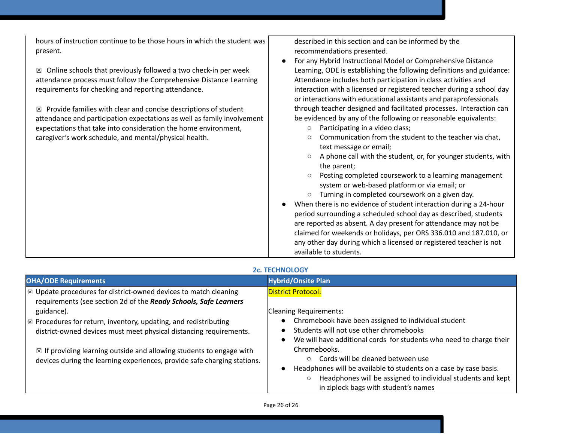hours of instruction continue to be those hours in which the student was present.

 $\boxtimes$  Online schools that previously followed a two check-in per week attendance process must follow the Comprehensive Distance Learning requirements for checking and reporting attendance.

 $\boxtimes$  Provide families with clear and concise descriptions of student attendance and participation expectations as well as family involvement expectations that take into consideration the home environment, caregiver's work schedule, and mental/physical health.

described in this section and can be informed by the recommendations presented.

- For any Hybrid Instructional Model or Comprehensive Distance Learning, ODE is establishing the following definitions and guidance: Attendance includes both participation in class activities and interaction with a licensed or registered teacher during a school day or interactions with educational assistants and paraprofessionals through teacher designed and facilitated processes. Interaction can be evidenced by any of the following or reasonable equivalents:
	- Participating in a video class;
	- Communication from the student to the teacher via chat, text message or email;
	- A phone call with the student, or, for younger students, with the parent;
	- Posting completed coursework to a learning management system or web-based platform or via email; or
	- Turning in completed coursework on a given day.
- When there is no evidence of student interaction during a 24-hour period surrounding a scheduled school day as described, students are reported as absent. A day present for attendance may not be claimed for weekends or holidays, per ORS 336.010 and 187.010, or any other day during which a licensed or registered teacher is not available to students.

# **2c. TECHNOLOGY**

| <b>OHA/ODE Requirements</b>                                                                                                                                                                                                                                                                                                  | <b>Hybrid/Onsite Plan</b>                                                                                                                                                                                                                                                                                                                                                                                  |
|------------------------------------------------------------------------------------------------------------------------------------------------------------------------------------------------------------------------------------------------------------------------------------------------------------------------------|------------------------------------------------------------------------------------------------------------------------------------------------------------------------------------------------------------------------------------------------------------------------------------------------------------------------------------------------------------------------------------------------------------|
| $\boxtimes$ Update procedures for district-owned devices to match cleaning<br>requirements (see section 2d of the Ready Schools, Safe Learners                                                                                                                                                                               | <b>District Protocol:</b>                                                                                                                                                                                                                                                                                                                                                                                  |
| guidance).<br>$\boxtimes$ Procedures for return, inventory, updating, and redistributing<br>district-owned devices must meet physical distancing requirements.<br>$\boxtimes$ If providing learning outside and allowing students to engage with<br>devices during the learning experiences, provide safe charging stations. | <b>Cleaning Requirements:</b><br>Chromebook have been assigned to individual student<br>Students will not use other chromebooks<br>We will have additional cords for students who need to charge their<br>Chromebooks.<br>Cords will be cleaned between use<br>$\circ$<br>Headphones will be available to students on a case by case basis.<br>Headphones will be assigned to individual students and kept |
|                                                                                                                                                                                                                                                                                                                              | in ziplock bags with student's names                                                                                                                                                                                                                                                                                                                                                                       |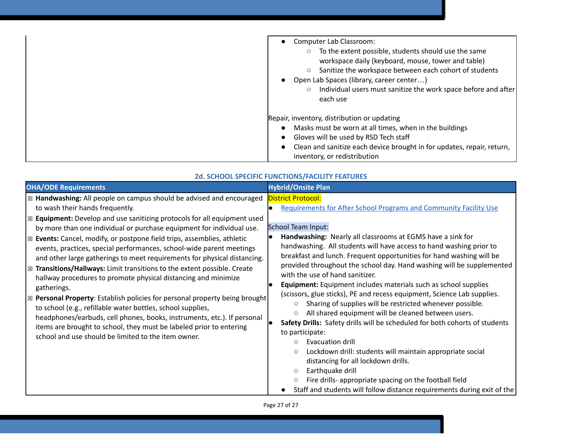| Computer Lab Classroom:<br>To the extent possible, students should use the same<br>workspace daily (keyboard, mouse, tower and table)<br>Sanitize the workspace between each cohort of students<br>Open Lab Spaces (library, career center)<br>Individual users must sanitize the work space before and after<br>each use |
|---------------------------------------------------------------------------------------------------------------------------------------------------------------------------------------------------------------------------------------------------------------------------------------------------------------------------|
| Repair, inventory, distribution or updating                                                                                                                                                                                                                                                                               |
| Masks must be worn at all times, when in the buildings                                                                                                                                                                                                                                                                    |
| Gloves will be used by RSD Tech staff                                                                                                                                                                                                                                                                                     |
| Clean and sanitize each device brought in for updates, repair, return,                                                                                                                                                                                                                                                    |
| inventory, or redistribution                                                                                                                                                                                                                                                                                              |

| <u> 20. SCHOOL SPECIFIC FUNCTIONS/FACILITY FEATURES</u>                                                                                                                                                                                                                                                                                                                                                                                                                                                                                                                                                                                                                                                                                                                                                                                                                                                                                                                                                                                       |                                                                                                                                                                                                                                                                                                                                                                                                                                                                                                                                                                                                                                                                                                                                                                                                                                                                                                                                                                                                                                                                                                                                                                                                               |  |
|-----------------------------------------------------------------------------------------------------------------------------------------------------------------------------------------------------------------------------------------------------------------------------------------------------------------------------------------------------------------------------------------------------------------------------------------------------------------------------------------------------------------------------------------------------------------------------------------------------------------------------------------------------------------------------------------------------------------------------------------------------------------------------------------------------------------------------------------------------------------------------------------------------------------------------------------------------------------------------------------------------------------------------------------------|---------------------------------------------------------------------------------------------------------------------------------------------------------------------------------------------------------------------------------------------------------------------------------------------------------------------------------------------------------------------------------------------------------------------------------------------------------------------------------------------------------------------------------------------------------------------------------------------------------------------------------------------------------------------------------------------------------------------------------------------------------------------------------------------------------------------------------------------------------------------------------------------------------------------------------------------------------------------------------------------------------------------------------------------------------------------------------------------------------------------------------------------------------------------------------------------------------------|--|
| <b>OHA/ODE Requirements</b>                                                                                                                                                                                                                                                                                                                                                                                                                                                                                                                                                                                                                                                                                                                                                                                                                                                                                                                                                                                                                   | <b>Hybrid/Onsite Plan</b>                                                                                                                                                                                                                                                                                                                                                                                                                                                                                                                                                                                                                                                                                                                                                                                                                                                                                                                                                                                                                                                                                                                                                                                     |  |
| ⊠ Handwashing: All people on campus should be advised and encouraged<br>to wash their hands frequently.<br>$\boxtimes$ Equipment: Develop and use sanitizing protocols for all equipment used<br>by more than one individual or purchase equipment for individual use.<br>⊠ Events: Cancel, modify, or postpone field trips, assemblies, athletic<br>events, practices, special performances, school-wide parent meetings<br>and other large gatherings to meet requirements for physical distancing.<br>$\boxtimes$ Transitions/Hallways: Limit transitions to the extent possible. Create<br>hallway procedures to promote physical distancing and minimize<br>gatherings.<br>$\boxtimes$ Personal Property: Establish policies for personal property being brought<br>to school (e.g., refillable water bottles, school supplies,<br>headphones/earbuds, cell phones, books, instruments, etc.). If personal<br>items are brought to school, they must be labeled prior to entering<br>school and use should be limited to the item owner. | <b>District Protocol:</b><br><b>Requirements for After School Programs and Community Facility Use</b><br>$\bullet$<br><b>School Team Input:</b><br>Handwashing: Nearly all classrooms at EGMS have a sink for<br>handwashing. All students will have access to hand washing prior to<br>breakfast and lunch. Frequent opportunities for hand washing will be<br>provided throughout the school day. Hand washing will be supplemented<br>with the use of hand sanitizer.<br><b>Equipment:</b> Equipment includes materials such as school supplies<br>(scissors, glue sticks), PE and recess equipment, Science Lab supplies.<br>Sharing of supplies will be restricted whenever possible.<br>$\circ$<br>All shared equipment will be cleaned between users.<br>$\circ$<br>Safety Drills: Safety drills will be scheduled for both cohorts of students<br>$\bullet$<br>to participate:<br>Evacuation drill<br>O<br>Lockdown drill: students will maintain appropriate social<br>$\circ$<br>distancing for all lockdown drills.<br>Earthquake drill<br>$\circ$<br>Fire drills- appropriate spacing on the football field<br>$\circ$<br>Staff and students will follow distance requirements during exit of the |  |

### **2d. SCHOOL SPECIFIC FUNCTIONS/FACILITY FEATURES**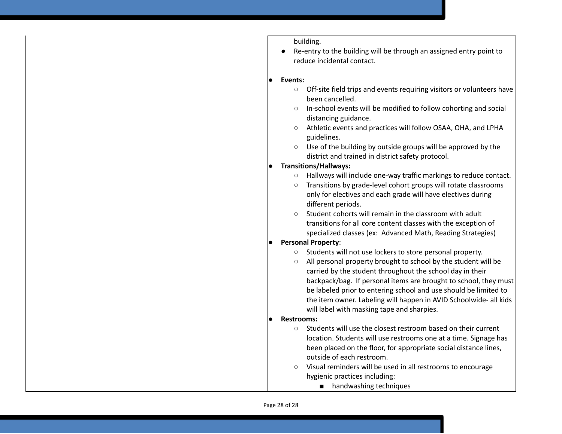building.

● Re-entry to the building will be through an assigned entry point to reduce incidental contact.

#### Events:

- Off-site field trips and events requiring visitors or volunteers have been cancelled.
- In-school events will be modified to follow cohorting and social distancing guidance.
- Athletic events and practices will follow OSAA, OHA, and LPHA guidelines.
- Use of the building by outside groups will be approved by the district and trained in district safety protocol.

#### ● **Transitions/Hallways:**

- Hallways will include one-way traffic markings to reduce contact.
- Transitions by grade-level cohort groups will rotate classrooms only for electives and each grade will have electives during different periods.
- Student cohorts will remain in the classroom with adult transitions for all core content classes with the exception of specialized classes (ex: Advanced Math, Reading Strategies)

#### ● **Personal Property**:

- Students will not use lockers to store personal property.
- All personal property brought to school by the student will be carried by the student throughout the school day in their backpack/bag. If personal items are brought to school, they must be labeled prior to entering school and use should be limited to the item owner. Labeling will happen in AVID Schoolwide- all kids will label with masking tape and sharpies.

#### **● Restrooms:**

- Students will use the closest restroom based on their current location. Students will use restrooms one at a time. Signage has been placed on the floor, for appropriate social distance lines, outside of each restroom.
- Visual reminders will be used in all restrooms to encourage hygienic practices including:
	- handwashing techniques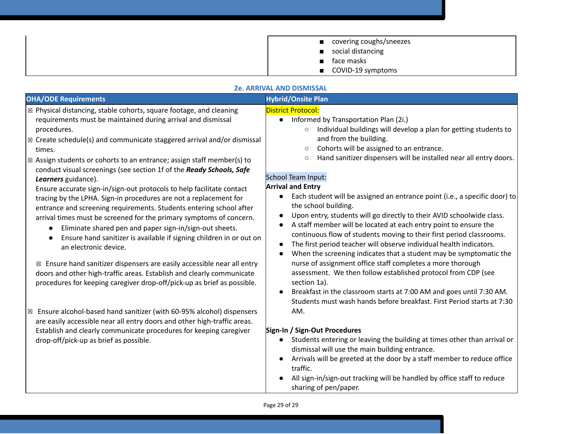| ■ covering coughs/sneezes |
|---------------------------|
| social distancing         |
| ■ face masks              |
| $\Box$ COVID-19 symptoms  |

#### **2e. ARRIVAL AND DISMISSAL**

| 45. ANNIVAL AND DIJIVIIJJAL                                                                                                                                                                                                                                                                                                                                                                                                                                                                                                                                                                                                                                                                                                                                                                                                                                                                                                                                                                                                                                                                                                                                                                                                                                                                          |                                                                                                                                                                                                                                                                                                                                                                                                                                                                                                                                                                                                                                                                                                                                                                                                                                                                                                                                                                                                                                                                                                                                                                                                           |  |
|------------------------------------------------------------------------------------------------------------------------------------------------------------------------------------------------------------------------------------------------------------------------------------------------------------------------------------------------------------------------------------------------------------------------------------------------------------------------------------------------------------------------------------------------------------------------------------------------------------------------------------------------------------------------------------------------------------------------------------------------------------------------------------------------------------------------------------------------------------------------------------------------------------------------------------------------------------------------------------------------------------------------------------------------------------------------------------------------------------------------------------------------------------------------------------------------------------------------------------------------------------------------------------------------------|-----------------------------------------------------------------------------------------------------------------------------------------------------------------------------------------------------------------------------------------------------------------------------------------------------------------------------------------------------------------------------------------------------------------------------------------------------------------------------------------------------------------------------------------------------------------------------------------------------------------------------------------------------------------------------------------------------------------------------------------------------------------------------------------------------------------------------------------------------------------------------------------------------------------------------------------------------------------------------------------------------------------------------------------------------------------------------------------------------------------------------------------------------------------------------------------------------------|--|
| <b>OHA/ODE Requirements</b>                                                                                                                                                                                                                                                                                                                                                                                                                                                                                                                                                                                                                                                                                                                                                                                                                                                                                                                                                                                                                                                                                                                                                                                                                                                                          | <b>Hybrid/Onsite Plan</b>                                                                                                                                                                                                                                                                                                                                                                                                                                                                                                                                                                                                                                                                                                                                                                                                                                                                                                                                                                                                                                                                                                                                                                                 |  |
| ⊠ Physical distancing, stable cohorts, square footage, and cleaning<br>requirements must be maintained during arrival and dismissal<br>procedures.<br>$\boxtimes$ Create schedule(s) and communicate staggered arrival and/or dismissal<br>times.<br>$\boxtimes$ Assign students or cohorts to an entrance; assign staff member(s) to<br>conduct visual screenings (see section 1f of the Ready Schools, Safe<br>Learners guidance).<br>Ensure accurate sign-in/sign-out protocols to help facilitate contact<br>tracing by the LPHA. Sign-in procedures are not a replacement for<br>entrance and screening requirements. Students entering school after<br>arrival times must be screened for the primary symptoms of concern.<br>Eliminate shared pen and paper sign-in/sign-out sheets.<br>Ensure hand sanitizer is available if signing children in or out on<br>an electronic device.<br>$\boxtimes$ Ensure hand sanitizer dispensers are easily accessible near all entry<br>doors and other high-traffic areas. Establish and clearly communicate<br>procedures for keeping caregiver drop-off/pick-up as brief as possible.<br>$\boxtimes$ Ensure alcohol-based hand sanitizer (with 60-95% alcohol) dispensers<br>are easily accessible near all entry doors and other high-traffic areas. | <b>District Protocol:</b><br>• Informed by Transportation Plan (2i.)<br>Individual buildings will develop a plan for getting students to<br>$\circ$<br>and from the building.<br>Cohorts will be assigned to an entrance.<br>$\circ$<br>Hand sanitizer dispensers will be installed near all entry doors.<br>$\circlearrowright$<br>School Team Input:<br><b>Arrival and Entry</b><br>Each student will be assigned an entrance point (i.e., a specific door) to<br>the school building.<br>Upon entry, students will go directly to their AVID schoolwide class.<br>$\bullet$<br>A staff member will be located at each entry point to ensure the<br>continuous flow of students moving to their first period classrooms.<br>The first period teacher will observe individual health indicators.<br>$\bullet$<br>When the screening indicates that a student may be symptomatic the<br>$\bullet$<br>nurse of assignment office staff completes a more thorough<br>assessment. We then follow established protocol from CDP (see<br>section 1a).<br>Breakfast in the classroom starts at 7:00 AM and goes until 7:30 AM.<br>Students must wash hands before breakfast. First Period starts at 7:30<br>AM. |  |
| Establish and clearly communicate procedures for keeping caregiver<br>drop-off/pick-up as brief as possible.                                                                                                                                                                                                                                                                                                                                                                                                                                                                                                                                                                                                                                                                                                                                                                                                                                                                                                                                                                                                                                                                                                                                                                                         | Sign-In / Sign-Out Procedures<br>Students entering or leaving the building at times other than arrival or<br>$\bullet$                                                                                                                                                                                                                                                                                                                                                                                                                                                                                                                                                                                                                                                                                                                                                                                                                                                                                                                                                                                                                                                                                    |  |
|                                                                                                                                                                                                                                                                                                                                                                                                                                                                                                                                                                                                                                                                                                                                                                                                                                                                                                                                                                                                                                                                                                                                                                                                                                                                                                      | dismissal will use the main building entrance.<br>Arrivals will be greeted at the door by a staff member to reduce office<br>$\bullet$<br>traffic.<br>All sign-in/sign-out tracking will be handled by office staff to reduce<br>sharing of pen/paper.                                                                                                                                                                                                                                                                                                                                                                                                                                                                                                                                                                                                                                                                                                                                                                                                                                                                                                                                                    |  |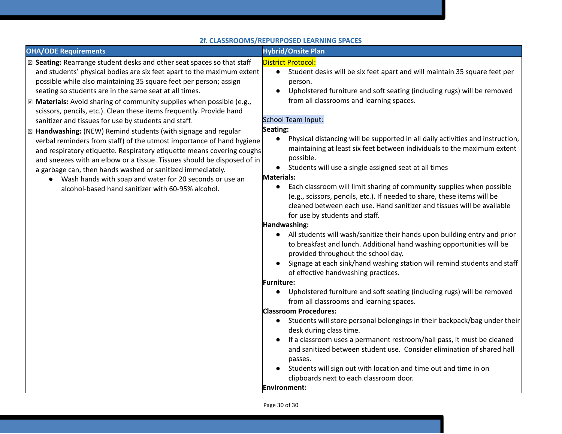Page 30 of 30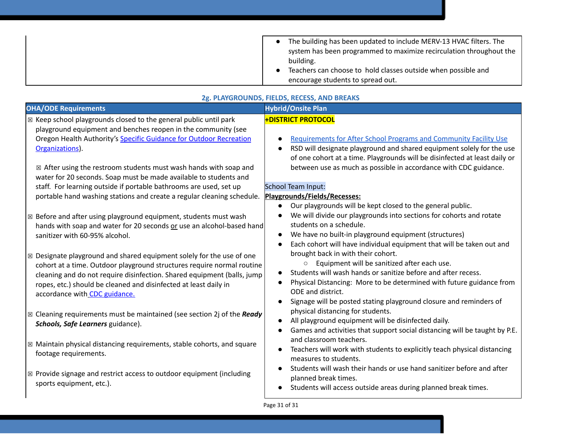| The building has been updated to include MERV-13 HVAC filters. The  |
|---------------------------------------------------------------------|
| system has been programmed to maximize recirculation throughout the |
| building.                                                           |
| Teachers can choose to hold classes outside when possible and       |
| encourage students to spread out.                                   |

#### **2g. PLAYGROUNDS, FIELDS, RECESS, AND BREAKS**

| <b>OHA/ODE Requirements</b>                                                       | <b>Hybrid/Onsite Plan</b>                                                               |
|-----------------------------------------------------------------------------------|-----------------------------------------------------------------------------------------|
|                                                                                   |                                                                                         |
| ⊠ Keep school playgrounds closed to the general public until park                 | <b>+DISTRICT PROTOCOL</b>                                                               |
| playground equipment and benches reopen in the community (see                     |                                                                                         |
| Oregon Health Authority's Specific Guidance for Outdoor Recreation                | <b>Requirements for After School Programs and Community Facility Use</b>                |
| Organizations).                                                                   | RSD will designate playground and shared equipment solely for the use<br>$\bullet$      |
|                                                                                   | of one cohort at a time. Playgrounds will be disinfected at least daily or              |
| $\boxtimes$ After using the restroom students must wash hands with soap and       | between use as much as possible in accordance with CDC guidance.                        |
| water for 20 seconds. Soap must be made available to students and                 |                                                                                         |
| staff. For learning outside if portable bathrooms are used, set up                | School Team Input:                                                                      |
| portable hand washing stations and create a regular cleaning schedule.            | Playgrounds/Fields/Recesses:                                                            |
|                                                                                   | Our playgrounds will be kept closed to the general public.<br>$\bullet$                 |
| $\boxtimes$ Before and after using playground equipment, students must wash       | We will divide our playgrounds into sections for cohorts and rotate                     |
| hands with soap and water for 20 seconds or use an alcohol-based hand             | students on a schedule.                                                                 |
| sanitizer with 60-95% alcohol.                                                    | We have no built-in playground equipment (structures)<br>$\bullet$                      |
|                                                                                   | Each cohort will have individual equipment that will be taken out and<br>$\bullet$      |
| $\boxtimes$ Designate playground and shared equipment solely for the use of one   | brought back in with their cohort.                                                      |
| cohort at a time. Outdoor playground structures require normal routine            | Equipment will be sanitized after each use.<br>$\circ$                                  |
| cleaning and do not require disinfection. Shared equipment (balls, jump           | Students will wash hands or sanitize before and after recess.                           |
| ropes, etc.) should be cleaned and disinfected at least daily in                  | Physical Distancing: More to be determined with future guidance from<br>$\bullet$       |
| accordance with CDC guidance.                                                     | <b>ODE</b> and district.                                                                |
|                                                                                   | Signage will be posted stating playground closure and reminders of<br>$\bullet$         |
| $\boxtimes$ Cleaning requirements must be maintained (see section 2j of the Ready | physical distancing for students.                                                       |
| Schools, Safe Learners guidance).                                                 | All playground equipment will be disinfected daily.<br>$\bullet$                        |
|                                                                                   | Games and activities that support social distancing will be taught by P.E.<br>$\bullet$ |
| $\boxtimes$ Maintain physical distancing requirements, stable cohorts, and square | and classroom teachers.                                                                 |
|                                                                                   | Teachers will work with students to explicitly teach physical distancing<br>$\bullet$   |
| footage requirements.                                                             | measures to students.                                                                   |
|                                                                                   | Students will wash their hands or use hand sanitizer before and after                   |
| $\boxtimes$ Provide signage and restrict access to outdoor equipment (including   | planned break times.                                                                    |
| sports equipment, etc.).                                                          | Students will access outside areas during planned break times.                          |
|                                                                                   |                                                                                         |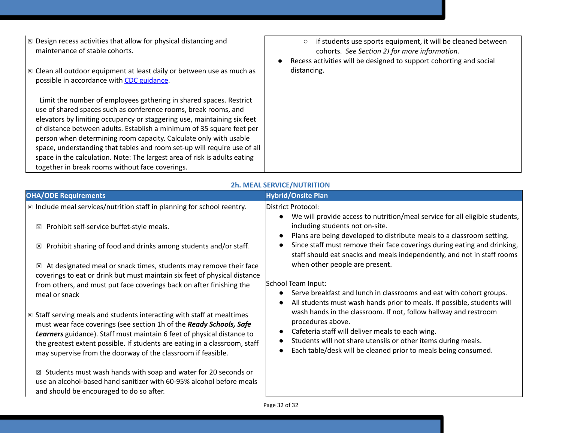- ☒ Design recess activities that allow for physical distancing and maintenance of stable cohorts.
- $\boxtimes$  Clean all outdoor equipment at least daily or between use as much as  $\qquad$  distancing. possible in accordance with [C](https://www.cdc.gov/coronavirus/2019-ncov/community/clean-disinfect/index.html)DC [guidance](https://www.cdc.gov/coronavirus/2019-ncov/community/clean-disinfect/index.html).

 Limit the number of employees gathering in shared spaces. Restrict use of shared spaces such as conference rooms, break rooms, and elevators by limiting occupancy or staggering use, maintaining six feet of distance between adults. Establish a minimum of 35 square feet per person when determining room capacity. Calculate only with usable space, understanding that tables and room set-up will require use of all space in the calculation. Note: The largest area of risk is adults eating together in break rooms without face coverings.

- if students use sports equipment, it will be cleaned between cohorts. *See Section 2J for more information.*
- Recess activities will be designed to support cohorting and social

| <b>OHA/ODE Requirements</b>                                                                                                                                                                                                                                                                                                                                                     | <b>Hybrid/Onsite Plan</b>                                                                                                                                                                                                                                                                                                                                                         |
|---------------------------------------------------------------------------------------------------------------------------------------------------------------------------------------------------------------------------------------------------------------------------------------------------------------------------------------------------------------------------------|-----------------------------------------------------------------------------------------------------------------------------------------------------------------------------------------------------------------------------------------------------------------------------------------------------------------------------------------------------------------------------------|
| $\boxtimes$ Include meal services/nutrition staff in planning for school reentry.                                                                                                                                                                                                                                                                                               | District Protocol:                                                                                                                                                                                                                                                                                                                                                                |
| Prohibit self-service buffet-style meals.<br>⊠                                                                                                                                                                                                                                                                                                                                  | We will provide access to nutrition/meal service for all eligible students,<br>including students not on-site.<br>Plans are being developed to distribute meals to a classroom setting.<br>$\bullet$                                                                                                                                                                              |
| Prohibit sharing of food and drinks among students and/or staff.<br>⊠                                                                                                                                                                                                                                                                                                           | Since staff must remove their face coverings during eating and drinking,<br>staff should eat snacks and meals independently, and not in staff rooms                                                                                                                                                                                                                               |
| At designated meal or snack times, students may remove their face<br>⊠<br>coverings to eat or drink but must maintain six feet of physical distance                                                                                                                                                                                                                             | when other people are present.                                                                                                                                                                                                                                                                                                                                                    |
| from others, and must put face coverings back on after finishing the<br>meal or snack                                                                                                                                                                                                                                                                                           | School Team Input:<br>Serve breakfast and lunch in classrooms and eat with cohort groups.<br>$\bullet$                                                                                                                                                                                                                                                                            |
| $\boxtimes$ Staff serving meals and students interacting with staff at mealtimes<br>must wear face coverings (see section 1h of the Ready Schools, Safe<br>Learners guidance). Staff must maintain 6 feet of physical distance to<br>the greatest extent possible. If students are eating in a classroom, staff<br>may supervise from the doorway of the classroom if feasible. | All students must wash hands prior to meals. If possible, students will<br>$\bullet$<br>wash hands in the classroom. If not, follow hallway and restroom<br>procedures above.<br>Cafeteria staff will deliver meals to each wing.<br>$\bullet$<br>Students will not share utensils or other items during meals.<br>Each table/desk will be cleaned prior to meals being consumed. |
| Students must wash hands with soap and water for 20 seconds or<br>冈<br>use an alcohol-based hand sanitizer with 60-95% alcohol before meals<br>and should be encouraged to do so after.                                                                                                                                                                                         |                                                                                                                                                                                                                                                                                                                                                                                   |

# **2h. MEAL SERVICE/NUTRITION**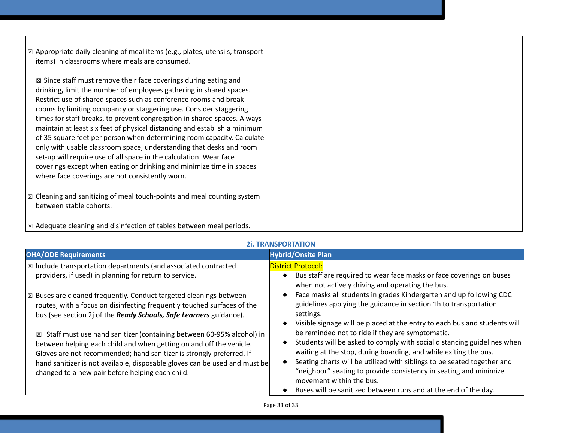| $\boxtimes$ Appropriate daily cleaning of meal items (e.g., plates, utensils, transport<br>items) in classrooms where meals are consumed.                                                                                                                                                                                                                                                                                                                                                                                                                                                                                                                                                                                                                                                              |  |
|--------------------------------------------------------------------------------------------------------------------------------------------------------------------------------------------------------------------------------------------------------------------------------------------------------------------------------------------------------------------------------------------------------------------------------------------------------------------------------------------------------------------------------------------------------------------------------------------------------------------------------------------------------------------------------------------------------------------------------------------------------------------------------------------------------|--|
| $\boxtimes$ Since staff must remove their face coverings during eating and<br>drinking, limit the number of employees gathering in shared spaces.<br>Restrict use of shared spaces such as conference rooms and break<br>rooms by limiting occupancy or staggering use. Consider staggering<br>times for staff breaks, to prevent congregation in shared spaces. Always<br>maintain at least six feet of physical distancing and establish a minimum<br>of 35 square feet per person when determining room capacity. Calculate<br>only with usable classroom space, understanding that desks and room<br>set-up will require use of all space in the calculation. Wear face<br>coverings except when eating or drinking and minimize time in spaces<br>where face coverings are not consistently worn. |  |
| $\boxtimes$ Cleaning and sanitizing of meal touch-points and meal counting system<br>between stable cohorts.                                                                                                                                                                                                                                                                                                                                                                                                                                                                                                                                                                                                                                                                                           |  |
| $\boxtimes$ Adequate cleaning and disinfection of tables between meal periods.                                                                                                                                                                                                                                                                                                                                                                                                                                                                                                                                                                                                                                                                                                                         |  |

# **2i. TRANSPORTATION**

| <b>OHA/ODE Requirements</b>                                                                                                                                                                                                                                                                                   | <b>Hybrid/Onsite Plan</b>                                                                                                                                                                                                                                                                                                                               |
|---------------------------------------------------------------------------------------------------------------------------------------------------------------------------------------------------------------------------------------------------------------------------------------------------------------|---------------------------------------------------------------------------------------------------------------------------------------------------------------------------------------------------------------------------------------------------------------------------------------------------------------------------------------------------------|
| $\boxtimes$ Include transportation departments (and associated contracted<br>providers, if used) in planning for return to service.                                                                                                                                                                           | <b>District Protocol:</b><br>Bus staff are required to wear face masks or face coverings on buses                                                                                                                                                                                                                                                       |
| $\boxtimes$ Buses are cleaned frequently. Conduct targeted cleanings between                                                                                                                                                                                                                                  | when not actively driving and operating the bus.<br>Face masks all students in grades Kindergarten and up following CDC                                                                                                                                                                                                                                 |
| routes, with a focus on disinfecting frequently touched surfaces of the<br>bus (see section 2j of the Ready Schools, Safe Learners guidance).                                                                                                                                                                 | guidelines applying the guidance in section 1h to transportation<br>settings.                                                                                                                                                                                                                                                                           |
| $\boxtimes$ Staff must use hand sanitizer (containing between 60-95% alcohol) in<br>between helping each child and when getting on and off the vehicle.<br>Gloves are not recommended; hand sanitizer is strongly preferred. If<br>hand sanitizer is not available, disposable gloves can be used and must be | Visible signage will be placed at the entry to each bus and students will<br>be reminded not to ride if they are symptomatic.<br>Students will be asked to comply with social distancing guidelines when<br>waiting at the stop, during boarding, and while exiting the bus.<br>Seating charts will be utilized with siblings to be seated together and |
| changed to a new pair before helping each child.                                                                                                                                                                                                                                                              | "neighbor" seating to provide consistency in seating and minimize<br>movement within the bus.<br>Buses will be sanitized between runs and at the end of the day.                                                                                                                                                                                        |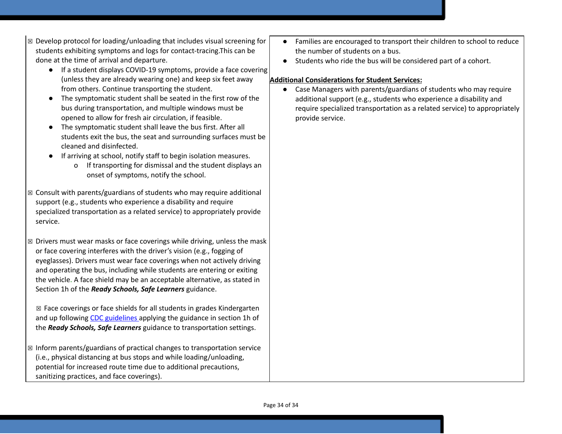- $\boxtimes$  Develop protocol for loading/unloading that includes visual screening for students exhibiting symptoms and logs for contact-tracing.This can be done at the time of arrival and departure.
	- If a student displays COVID-19 symptoms, provide a face covering (unless they are already wearing one) and keep six feet away from others. Continue transporting the student.
	- The symptomatic student shall be seated in the first row of the bus during transportation, and multiple windows must be opened to allow for fresh air circulation, if feasible.
	- The symptomatic student shall leave the bus first. After all students exit the bus, the seat and surrounding surfaces must be cleaned and disinfected.
	- If arriving at school, notify staff to begin isolation measures.
		- o If transporting for dismissal and the student displays an onset of symptoms, notify the school.
- $\boxtimes$  Consult with parents/guardians of students who may require additional support (e.g., students who experience a disability and require specialized transportation as a related service) to appropriately provide service.
- $\boxtimes$  Drivers must wear masks or face coverings while driving, unless the mask or face covering interferes with the driver's vision (e.g., fogging of eyeglasses). Drivers must wear face coverings when not actively driving and operating the bus, including while students are entering or exiting the vehicle. A face shield may be an acceptable alternative, as stated in Section 1h of the *Ready Schools, Safe Learners* guidance.

☒ Face coverings or face shields for all students in grades Kindergarten and up following [C](https://www.cdc.gov/coronavirus/2019-ncov/prevent-getting-sick/diy-cloth-face-coverings.html)DC [guidelines](https://www.cdc.gov/coronavirus/2019-ncov/prevent-getting-sick/diy-cloth-face-coverings.html) applying the guidance in section 1h of the *Ready Schools, Safe Learners* guidance to transportation settings.

 $\boxtimes$  Inform parents/guardians of practical changes to transportation service (i.e., physical distancing at bus stops and while loading/unloading, potential for increased route time due to additional precautions, sanitizing practices, and face coverings).

- Families are encouraged to transport their children to school to reduce the number of students on a bus.
- Students who ride the bus will be considered part of a cohort.

# **Additional Considerations for Student Services:**

Case Managers with parents/guardians of students who may require additional support (e.g., students who experience a disability and require specialized transportation as a related service) to appropriately provide service.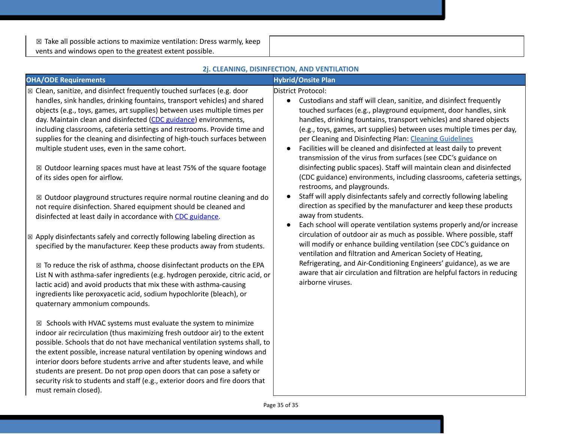$\boxtimes$  Take all possible actions to maximize ventilation: Dress warmly, keep vents and windows open to the greatest extent possible.

|                                                                                                                                                                                                                                                                                                                                                                                                                                                                                                                                                                                                                                                                                                                                             | 2j. CLEANING, DISINFECTION, AND VENTILATION                                                                                                                                                                                                                                                                                                                                                                                                                                                                                                                                                                                                                                                       |
|---------------------------------------------------------------------------------------------------------------------------------------------------------------------------------------------------------------------------------------------------------------------------------------------------------------------------------------------------------------------------------------------------------------------------------------------------------------------------------------------------------------------------------------------------------------------------------------------------------------------------------------------------------------------------------------------------------------------------------------------|---------------------------------------------------------------------------------------------------------------------------------------------------------------------------------------------------------------------------------------------------------------------------------------------------------------------------------------------------------------------------------------------------------------------------------------------------------------------------------------------------------------------------------------------------------------------------------------------------------------------------------------------------------------------------------------------------|
| <b>OHA/ODE Requirements</b>                                                                                                                                                                                                                                                                                                                                                                                                                                                                                                                                                                                                                                                                                                                 | <b>Hybrid/Onsite Plan</b>                                                                                                                                                                                                                                                                                                                                                                                                                                                                                                                                                                                                                                                                         |
| ⊠ Clean, sanitize, and disinfect frequently touched surfaces (e.g. door<br>handles, sink handles, drinking fountains, transport vehicles) and shared<br>objects (e.g., toys, games, art supplies) between uses multiple times per<br>day. Maintain clean and disinfected (CDC guidance) environments,<br>including classrooms, cafeteria settings and restrooms. Provide time and<br>supplies for the cleaning and disinfecting of high-touch surfaces between<br>multiple student uses, even in the same cohort.<br>⊠ Outdoor learning spaces must have at least 75% of the square footage<br>of its sides open for airflow.                                                                                                               | District Protocol:<br>Custodians and staff will clean, sanitize, and disinfect frequently<br>$\bullet$<br>touched surfaces (e.g., playground equipment, door handles, sink<br>handles, drinking fountains, transport vehicles) and shared objects<br>(e.g., toys, games, art supplies) between uses multiple times per day,<br>per Cleaning and Disinfecting Plan: Cleaning Guidelines<br>Facilities will be cleaned and disinfected at least daily to prevent<br>$\bullet$<br>transmission of the virus from surfaces (see CDC's guidance on<br>disinfecting public spaces). Staff will maintain clean and disinfected<br>(CDC guidance) environments, including classrooms, cafeteria settings, |
| $\boxtimes$ Outdoor playground structures require normal routine cleaning and do<br>not require disinfection. Shared equipment should be cleaned and<br>disinfected at least daily in accordance with CDC guidance.<br>$\boxtimes$ Apply disinfectants safely and correctly following labeling direction as<br>specified by the manufacturer. Keep these products away from students.<br>$\boxtimes$ To reduce the risk of asthma, choose disinfectant products on the EPA<br>List N with asthma-safer ingredients (e.g. hydrogen peroxide, citric acid, or<br>lactic acid) and avoid products that mix these with asthma-causing<br>ingredients like peroxyacetic acid, sodium hypochlorite (bleach), or<br>quaternary ammonium compounds. | restrooms, and playgrounds.<br>Staff will apply disinfectants safely and correctly following labeling<br>direction as specified by the manufacturer and keep these products<br>away from students.<br>Each school will operate ventilation systems properly and/or increase<br>$\bullet$<br>circulation of outdoor air as much as possible. Where possible, staff<br>will modify or enhance building ventilation (see CDC's guidance on<br>ventilation and filtration and American Society of Heating,<br>Refrigerating, and Air-Conditioning Engineers' guidance), as we are<br>aware that air circulation and filtration are helpful factors in reducing<br>airborne viruses.                   |
| $\boxtimes$ Schools with HVAC systems must evaluate the system to minimize<br>indoor air recirculation (thus maximizing fresh outdoor air) to the extent<br>possible. Schools that do not have mechanical ventilation systems shall, to<br>the extent possible, increase natural ventilation by opening windows and<br>interior doors before students arrive and after students leave, and while<br>students are present. Do not prop open doors that can pose a safety or<br>security risk to students and staff (e.g., exterior doors and fire doors that<br>must remain closed).                                                                                                                                                         |                                                                                                                                                                                                                                                                                                                                                                                                                                                                                                                                                                                                                                                                                                   |

# Page 35 of 35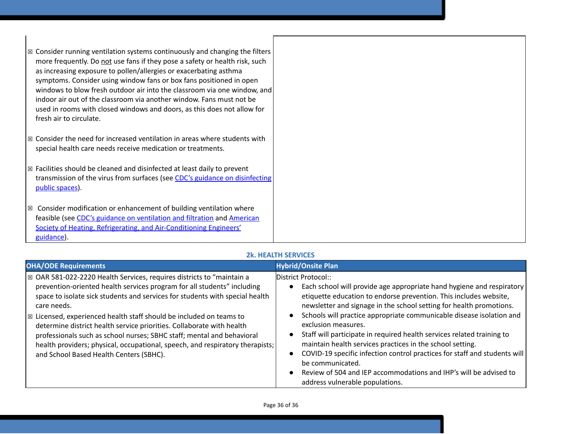| $\boxtimes$ Consider running ventilation systems continuously and changing the filters<br>more frequently. Do not use fans if they pose a safety or health risk, such<br>as increasing exposure to pollen/allergies or exacerbating asthma<br>symptoms. Consider using window fans or box fans positioned in open<br>windows to blow fresh outdoor air into the classroom via one window, and<br>indoor air out of the classroom via another window. Fans must not be<br>used in rooms with closed windows and doors, as this does not allow for<br>fresh air to circulate. |  |
|-----------------------------------------------------------------------------------------------------------------------------------------------------------------------------------------------------------------------------------------------------------------------------------------------------------------------------------------------------------------------------------------------------------------------------------------------------------------------------------------------------------------------------------------------------------------------------|--|
| $\boxtimes$ Consider the need for increased ventilation in areas where students with<br>special health care needs receive medication or treatments.                                                                                                                                                                                                                                                                                                                                                                                                                         |  |
| $\boxtimes$ Facilities should be cleaned and disinfected at least daily to prevent<br>transmission of the virus from surfaces (see CDC's guidance on disinfecting<br>public spaces).                                                                                                                                                                                                                                                                                                                                                                                        |  |
| $\boxtimes$ Consider modification or enhancement of building ventilation where<br>feasible (see CDC's guidance on ventilation and filtration and American<br>Society of Heating, Refrigerating, and Air-Conditioning Engineers'<br>guidance).                                                                                                                                                                                                                                                                                                                               |  |

# **2k. HEALTH SERVICES**

| <b>OHA/ODE Requirements</b>                                                                                                                                                                                                                                                                                                                                                                                                                                                                                                                                                                                     | <b>Hybrid/Onsite Plan</b>                                                                                                                                                                                                                                                                                                                                                                                                                                                                                                                                                                                                                                                                                         |
|-----------------------------------------------------------------------------------------------------------------------------------------------------------------------------------------------------------------------------------------------------------------------------------------------------------------------------------------------------------------------------------------------------------------------------------------------------------------------------------------------------------------------------------------------------------------------------------------------------------------|-------------------------------------------------------------------------------------------------------------------------------------------------------------------------------------------------------------------------------------------------------------------------------------------------------------------------------------------------------------------------------------------------------------------------------------------------------------------------------------------------------------------------------------------------------------------------------------------------------------------------------------------------------------------------------------------------------------------|
| ⊠ OAR 581-022-2220 Health Services, requires districts to "maintain a<br>prevention-oriented health services program for all students" including<br>space to isolate sick students and services for students with special health<br>care needs.<br>$\boxtimes$ Licensed, experienced health staff should be included on teams to<br>determine district health service priorities. Collaborate with health<br>professionals such as school nurses; SBHC staff; mental and behavioral<br>health providers; physical, occupational, speech, and respiratory therapists;<br>and School Based Health Centers (SBHC). | District Protocol::<br>Each school will provide age appropriate hand hygiene and respiratory<br>$\bullet$<br>etiquette education to endorse prevention. This includes website,<br>newsletter and signage in the school setting for health promotions.<br>Schools will practice appropriate communicable disease isolation and<br>exclusion measures.<br>Staff will participate in required health services related training to<br>maintain health services practices in the school setting.<br>COVID-19 specific infection control practices for staff and students will<br>$\bullet$<br>be communicated.<br>Review of 504 and IEP accommodations and IHP's will be advised to<br>address vulnerable populations. |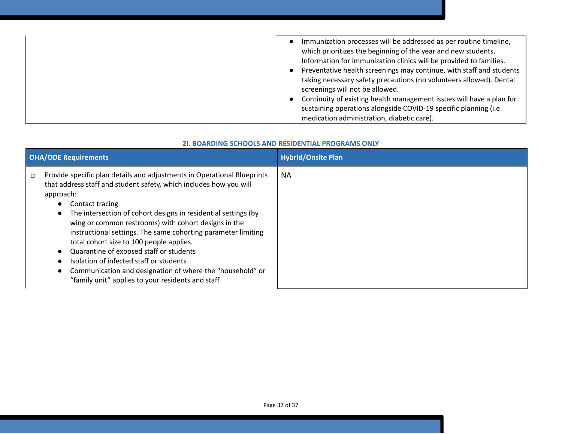| Immunization processes will be addressed as per routine timeline,<br>which prioritizes the beginning of the year and new students.<br>Information for immunization clinics will be provided to families.<br>Preventative health screenings may continue, with staff and students<br>taking necessary safety precautions (no volunteers allowed). Dental<br>screenings will not be allowed.<br>Continuity of existing health management issues will have a plan for<br>$\bullet$<br>sustaining operations alongside COVID-19 specific planning (i.e. |
|-----------------------------------------------------------------------------------------------------------------------------------------------------------------------------------------------------------------------------------------------------------------------------------------------------------------------------------------------------------------------------------------------------------------------------------------------------------------------------------------------------------------------------------------------------|
| medication administration, diabetic care).                                                                                                                                                                                                                                                                                                                                                                                                                                                                                                          |

# **2l. BOARDING SCHOOLS AND RESIDENTIAL PROGRAMS ONLY**

| <b>OHA/ODE Requirements</b>                                                                                                                                                                                                                                                                                                                                                                                                                                                                                                                                                                                                            | <b>Hybrid/Onsite Plan</b> |
|----------------------------------------------------------------------------------------------------------------------------------------------------------------------------------------------------------------------------------------------------------------------------------------------------------------------------------------------------------------------------------------------------------------------------------------------------------------------------------------------------------------------------------------------------------------------------------------------------------------------------------------|---------------------------|
| Provide specific plan details and adjustments in Operational Blueprints<br>$\Box$<br>that address staff and student safety, which includes how you will<br>approach:<br>Contact tracing<br>The intersection of cohort designs in residential settings (by<br>wing or common restrooms) with cohort designs in the<br>instructional settings. The same cohorting parameter limiting<br>total cohort size to 100 people applies.<br>Quarantine of exposed staff or students<br>Isolation of infected staff or students<br>Communication and designation of where the "household" or<br>"family unit" applies to your residents and staff | <b>NA</b>                 |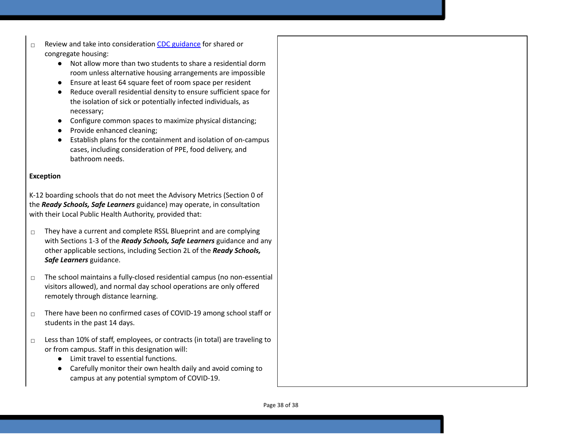- ☐ Review and take into consideration CDC g[uid](https://www.cdc.gov/coronavirus/2019-ncov/communication/toolkits/shared-congregate-housing.html)ance for shared or congregate housing:
	- Not allow more than two students to share a residential dorm room unless alternative housing arrangements are impossible
	- Ensure at least 64 square feet of room space per resident
	- $\bullet$ Reduce overall residential density to ensure sufficient space for the isolation of sick or potentially infected individuals, as necessary;
	- Configure common spaces to maximize physical distancing;
	- Provide enhanced cleaning;
	- Establish plans for the containment and isolation of on-campus cases, including consideration of PPE, food delivery, and bathroom needs.

# **Exception**

K-12 boarding schools that do not meet the Advisory Metrics (Section 0 of the *Ready Schools, Safe Learners* guidance) may operate, in consultation with their Local Public Health Authority, provided that:

- $\Box$  They have a current and complete RSSL Blueprint and are complying with Sections 1-3 of the *Ready Schools, Safe Learners* guidance and any other applicable sections, including Section 2L of the *Ready Schools,* Safe Learners guidance.
- $\Box$  The school maintains a fully-closed residential campus (no non-essential visitors allowed), and normal day school operations are only offered remotely through distance learning.
- $\Box$  There have been no confirmed cases of COVID-19 among school staff or students in the past 14 days.
- $\Box$  Less than 10% of staff, employees, or contracts (in total) are traveling to or from campus. Staff in this designation will:
	- Limit travel to essential functions.
	- Carefully monitor their own health daily and avoid coming to campus at any potential symptom of COVID-19.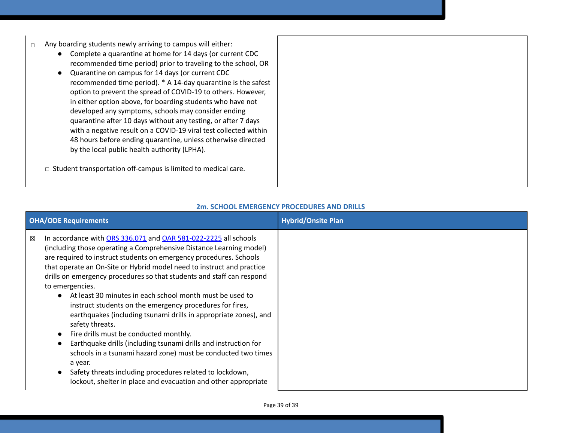- ☐ Any boarding students newly arriving to campus will either:
	- Complete a quarantine at home for 14 days (or current CDC recommended time period) prior to traveling to the school, OR
	- Quarantine on campus for 14 days (or current CDC recommended time period). \* A 14-day quarantine is the safest option to prevent the spread of COVID-19 to others. However, in either option above, for boarding students who have not developed any symptoms, schools may consider ending quarantine after 10 days without any testing, or after 7 days with a negative result on a COVID-19 viral test collected within 48 hours before ending quarantine, unless otherwise directed by the local public health authority (LPHA).
	- ☐ Student transportation off-campus is limited to medical care.

| <b>OHA/ODE Requirements</b>                                                                                                                                                                                                                                                                                                                                                                                                                                                                                                                                                                                                                                                                                                                                                                                                                                                                                                    | <b>Hybrid/Onsite Plan</b> |
|--------------------------------------------------------------------------------------------------------------------------------------------------------------------------------------------------------------------------------------------------------------------------------------------------------------------------------------------------------------------------------------------------------------------------------------------------------------------------------------------------------------------------------------------------------------------------------------------------------------------------------------------------------------------------------------------------------------------------------------------------------------------------------------------------------------------------------------------------------------------------------------------------------------------------------|---------------------------|
| In accordance with ORS 336.071 and OAR 581-022-2225 all schools<br>区<br>(including those operating a Comprehensive Distance Learning model)<br>are required to instruct students on emergency procedures. Schools<br>that operate an On-Site or Hybrid model need to instruct and practice<br>drills on emergency procedures so that students and staff can respond<br>to emergencies.<br>• At least 30 minutes in each school month must be used to<br>instruct students on the emergency procedures for fires,<br>earthquakes (including tsunami drills in appropriate zones), and<br>safety threats.<br>Fire drills must be conducted monthly.<br>Earthquake drills (including tsunami drills and instruction for<br>schools in a tsunami hazard zone) must be conducted two times<br>a year.<br>Safety threats including procedures related to lockdown,<br>lockout, shelter in place and evacuation and other appropriate |                           |

# **2m. SCHOOL EMERGENCY PROCEDURES AND DRILLS**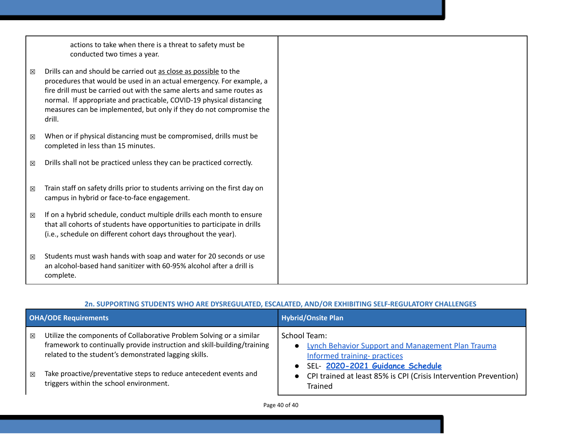|   | actions to take when there is a threat to safety must be<br>conducted two times a year.                                                                                                                                                                                                                                                                                     |  |
|---|-----------------------------------------------------------------------------------------------------------------------------------------------------------------------------------------------------------------------------------------------------------------------------------------------------------------------------------------------------------------------------|--|
| 区 | Drills can and should be carried out as close as possible to the<br>procedures that would be used in an actual emergency. For example, a<br>fire drill must be carried out with the same alerts and same routes as<br>normal. If appropriate and practicable, COVID-19 physical distancing<br>measures can be implemented, but only if they do not compromise the<br>drill. |  |
| 区 | When or if physical distancing must be compromised, drills must be<br>completed in less than 15 minutes.                                                                                                                                                                                                                                                                    |  |
| 区 | Drills shall not be practiced unless they can be practiced correctly.                                                                                                                                                                                                                                                                                                       |  |
| 区 | Train staff on safety drills prior to students arriving on the first day on<br>campus in hybrid or face-to-face engagement.                                                                                                                                                                                                                                                 |  |
| 区 | If on a hybrid schedule, conduct multiple drills each month to ensure<br>that all cohorts of students have opportunities to participate in drills<br>(i.e., schedule on different cohort days throughout the year).                                                                                                                                                         |  |
| 区 | Students must wash hands with soap and water for 20 seconds or use<br>an alcohol-based hand sanitizer with 60-95% alcohol after a drill is<br>complete.                                                                                                                                                                                                                     |  |

# **2n. SUPPORTING STUDENTS WHO ARE DYSREGULATED, ESCALATED, AND/OR EXHIBITING SELF-REGULATORY CHALLENGES**

| <b>OHA/ODE Requirements</b>                                                                                                                                                                                                                                                                                                         | <b>Hybrid/Onsite Plan</b>                                                                                                                                                                                                                               |
|-------------------------------------------------------------------------------------------------------------------------------------------------------------------------------------------------------------------------------------------------------------------------------------------------------------------------------------|---------------------------------------------------------------------------------------------------------------------------------------------------------------------------------------------------------------------------------------------------------|
| Utilize the components of Collaborative Problem Solving or a similar<br>⊠<br>framework to continually provide instruction and skill-building/training<br>related to the student's demonstrated lagging skills.<br>Take proactive/preventative steps to reduce antecedent events and<br>区<br>triggers within the school environment. | School Team:<br>Lynch Behavior Support and Management Plan Trauma<br>$\bullet$<br>Informed training- practices<br>SEL- 2020-2021 Guidance Schedule<br>$\bullet$<br>• CPI trained at least 85% is CPI (Crisis Intervention Prevention)<br><b>Trained</b> |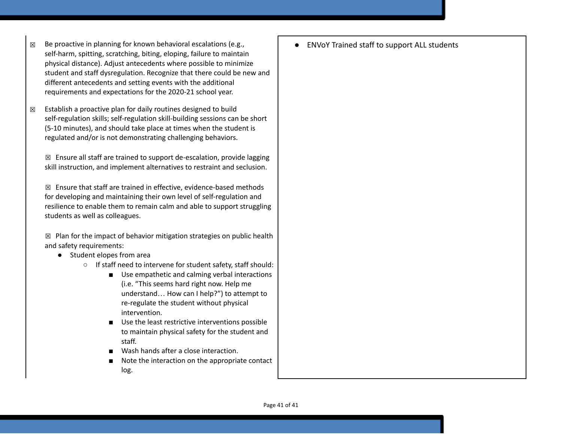- $\boxtimes$  Be proactive in planning for known behavioral escalations (e.g., self-harm, spitting, scratching, biting, eloping, failure to maintain physical distance). Adjust antecedents where possible to minimize student and staff dysregulation. Recognize that there could be new and different antecedents and setting events with the additional requirements and expectations for the 2020-21 school year.
- $\boxtimes$  Establish a proactive plan for daily routines designed to build self-regulation skills; self-regulation skill-building sessions can be short (5-10 minutes), and should take place at times when the student is regulated and/or is not demonstrating challenging behaviors.

 $\boxtimes$  Ensure all staff are trained to support de-escalation, provide lagging skill instruction, and implement alternatives to restraint and seclusion.

 $\boxtimes$  Ensure that staff are trained in effective, evidence-based methods for developing and maintaining their own level of self-regulation and resilience to enable them to remain calm and able to support struggling students as well as colleagues.

 $\boxtimes$  Plan for the impact of behavior mitigation strategies on public health and safety requirements:

- Student elopes from area
	- If staff need to intervene for student safety, staff should:
		- Use empathetic and calming verbal interactions (i.e. "This seems hard right now. Help me understand… How can I help?") to attempt to re-regulate the student without physical intervention.
		- Use the least restrictive interventions possible to maintain physical safety for the student and staff.
		- Wash hands after a close interaction.
		- Note the interaction on the appropriate contact log.

● ENVoY Trained staff to support ALL students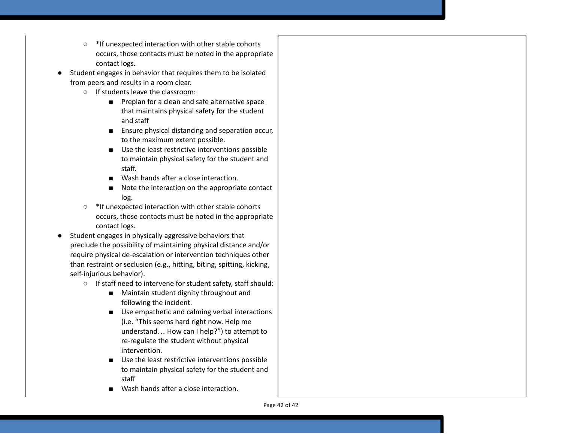- $\circ$ \*If unexpected interaction with other stable cohorts occurs, those contacts must be noted in the appropriate contact logs.
- Student engages in behavior that requires them to be isolated from peers and results in a room clear.
	- If students leave the classroom:
		- Preplan for a clean and safe alternative space that maintains physical safety for the student a n d s t a ff
		- Ensure physical distancing and separation occur, to the maximum extent possible.
		- Use the least restrictive interventions possible to maintain physical safety for the student and s t a ff.
		- Wash hands after a close interaction.
		- Note the interaction on the appropriate contact log.
	- \*If unexpected interaction with other stable cohorts occurs, those contacts must be noted in the appropriate contact logs.
- Student engages in physically aggressive behaviors that preclude the possibility of maintaining physical distance and/or require physical de-escalation or intervention techniques other than restraint or seclusion (e.g., hitting, biting, spitting, kicking, self-injurious behavior).
	- If staff need to intervene for student safety, staff should:
		- Maintain student dignity throughout and following the incident.
		- Use empathetic and calming verbal interactions (i.e. "This seems hard right now. Help me understand… How can I help?") to attempt to re-regulate the student without physical intervention.
		- Use the least restrictive interventions possible to maintain physical safety for the student and staff
		- Wash hands after a close interaction.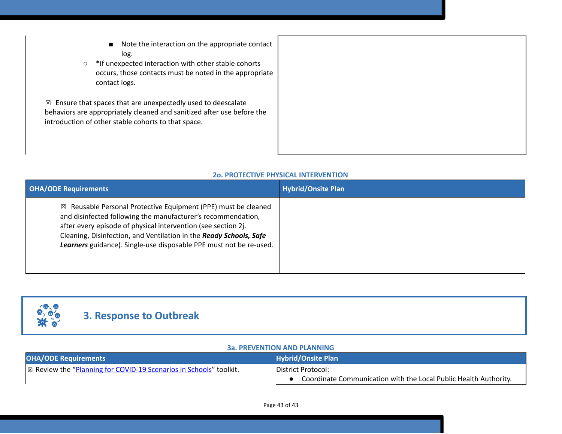- Note the interaction on the appropriate contact log.
- \*If unexpected interaction with other stable cohorts occurs, those contacts must be noted in the appropriate contact logs.

 $\boxtimes$  Ensure that spaces that are unexpectedly used to deescalate behaviors are appropriately cleaned and sanitized after use before the introduction of other stable cohorts to that space.

#### **2o. PROTECTIVE PHYSICAL INTERVENTION**

| <b>OHA/ODE Requirements</b>                                                                                                                                                                                                                                                                                                                           | <b>Hybrid/Onsite Plan</b> |
|-------------------------------------------------------------------------------------------------------------------------------------------------------------------------------------------------------------------------------------------------------------------------------------------------------------------------------------------------------|---------------------------|
| $\boxtimes$ Reusable Personal Protective Equipment (PPE) must be cleaned<br>and disinfected following the manufacturer's recommendation,<br>after every episode of physical intervention (see section 2j.<br>Cleaning, Disinfection, and Ventilation in the Ready Schools, Safe<br>Learners guidance). Single-use disposable PPE must not be re-used. |                           |



# **3. Response to Outbreak**

#### **3a. PREVENTION AND PLANNING**

| <b>OHA/ODE Requirements</b>                                                   | <b>Hybrid/Onsite Plan</b>                                        |
|-------------------------------------------------------------------------------|------------------------------------------------------------------|
| $\mathbb{R}$ Review the "Planning for COVID-19 Scenarios in Schools" toolkit. | <b>IDistrict Protocol:</b>                                       |
|                                                                               | Coordinate Communication with the Local Public Health Authority. |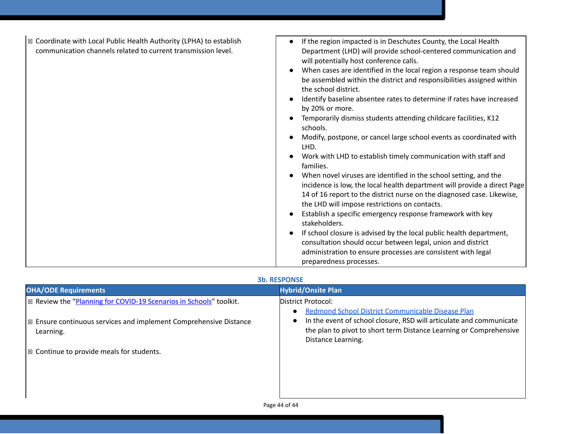| ⊠ Coordinate with Local Public Health Authority (LPHA) to establish<br>communication channels related to current transmission level. | If the region impacted is in Deschutes County, the Local Health<br>Department (LHD) will provide school-centered communication and<br>will potentially host conference calls.<br>When cases are identified in the local region a response team should<br>be assembled within the district and responsibilities assigned within<br>the school district.<br>Identify baseline absentee rates to determine if rates have increased<br>by 20% or more.<br>Temporarily dismiss students attending childcare facilities, K12<br>schools.<br>Modify, postpone, or cancel large school events as coordinated with<br>LHD.<br>Work with LHD to establish timely communication with staff and<br>families.<br>When novel viruses are identified in the school setting, and the<br>incidence is low, the local health department will provide a direct Page<br>14 of 16 report to the district nurse on the diagnosed case. Likewise,<br>the LHD will impose restrictions on contacts.<br>Establish a specific emergency response framework with key<br>stakeholders.<br>If school closure is advised by the local public health department,<br>consultation should occur between legal, union and district<br>administration to ensure processes are consistent with legal<br>preparedness processes. |
|--------------------------------------------------------------------------------------------------------------------------------------|---------------------------------------------------------------------------------------------------------------------------------------------------------------------------------------------------------------------------------------------------------------------------------------------------------------------------------------------------------------------------------------------------------------------------------------------------------------------------------------------------------------------------------------------------------------------------------------------------------------------------------------------------------------------------------------------------------------------------------------------------------------------------------------------------------------------------------------------------------------------------------------------------------------------------------------------------------------------------------------------------------------------------------------------------------------------------------------------------------------------------------------------------------------------------------------------------------------------------------------------------------------------------------------------|

#### **3b. RESPONSE**

| <b>OHA/ODE Requirements</b>                                                               | <b>Hybrid/Onsite Plan</b>                                                                                                                                                                                                                      |
|-------------------------------------------------------------------------------------------|------------------------------------------------------------------------------------------------------------------------------------------------------------------------------------------------------------------------------------------------|
| $\mathbb E$ Review the "Planning for COVID-19 Scenarios in Schools" toolkit.              | District Protocol:                                                                                                                                                                                                                             |
| $\mathbb{Z}$ Ensure continuous services and implement Comprehensive Distance<br>Learning. | Redmond School District Communicable Disease Plan<br>$\bullet$<br>In the event of school closure, RSD will articulate and communicate<br>$\bullet$<br>the plan to pivot to short term Distance Learning or Comprehensive<br>Distance Learning. |
| $\mathbb{R}$ Continue to provide meals for students.                                      |                                                                                                                                                                                                                                                |
|                                                                                           |                                                                                                                                                                                                                                                |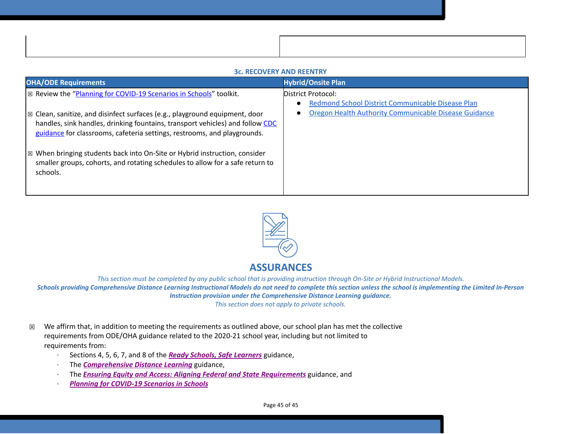#### **3c. RECOVERY AND REENTRY**

| <b>OHA/ODE Requirements</b>                                                                                                                                                        | <b>Hybrid/Onsite Plan</b>                                      |
|------------------------------------------------------------------------------------------------------------------------------------------------------------------------------------|----------------------------------------------------------------|
| ⊠ Review the "Planning for COVID-19 Scenarios in Schools" toolkit.                                                                                                                 | District Protocol:                                             |
|                                                                                                                                                                                    | Redmond School District Communicable Disease Plan<br>$\bullet$ |
| $\vert\boxtimes$ Clean, sanitize, and disinfect surfaces (e.g., playground equipment, door                                                                                         | Oregon Health Authority Communicable Disease Guidance          |
| handles, sink handles, drinking fountains, transport vehicles) and follow CDC<br>guidance for classrooms, cafeteria settings, restrooms, and playgrounds.                          |                                                                |
| $\mathbb{R}$ When bringing students back into On-Site or Hybrid instruction, consider<br>smaller groups, cohorts, and rotating schedules to allow for a safe return to<br>schools. |                                                                |
|                                                                                                                                                                                    |                                                                |



# **ASSURANCES**

This section must be completed by any public school that is providing instruction through On-Site or Hybrid Instructional Models. Schools providing Comprehensive Distance Learning Instructional Models do not need to complete this section unless the school is implementing the Limited In-Person *Instruction provision under the Comprehensive Distance Learning guidance. This section does not apply to private schools.*

- $\boxtimes$  We affirm that, in addition to meeting the requirements as outlined above, our school plan has met the collective requirements from ODE/OHA guidance related to the 2020-21 school year, including but not limited to requirements from:
	- · Sections 4, 5, 6, 7, and 8 of the *[R](https://www.oregon.gov/ode/students-and-family/healthsafety/Documents/Ready%20Schools%20Safe%20Learners%202020-21%20Guidance.pdf)eady Schools, Safe [Learners](https://www.oregon.gov/ode/students-and-family/healthsafety/Documents/Ready%20Schools%20Safe%20Learners%202020-21%20Guidance.pdf)* guidance,
	- · The *[Comprehensive](https://www.oregon.gov/ode/educator-resources/standards/Pages/Comprehensive-Distance-Learning.aspx) Distance Learning* guidance,
	- · The *Ensuring Equity and Access: Aligning Federal and State [Requirements](https://www.oregon.gov/ode/students-and-family/healthsafety/Documents/Ensuring%20Equity%20and%20Access%20Aligning%20State%20and%20Federal%20Requirements.pdf)* guidance, and
	- · *Planning for [COVID-19](https://www.oregon.gov/ode/students-and-family/healthsafety/Documents/Planning%20and%20Responding%20to%20COVID-19%20Scenarios%20in%20Schools%20August%202020.pdf) Scenarios in Schools*